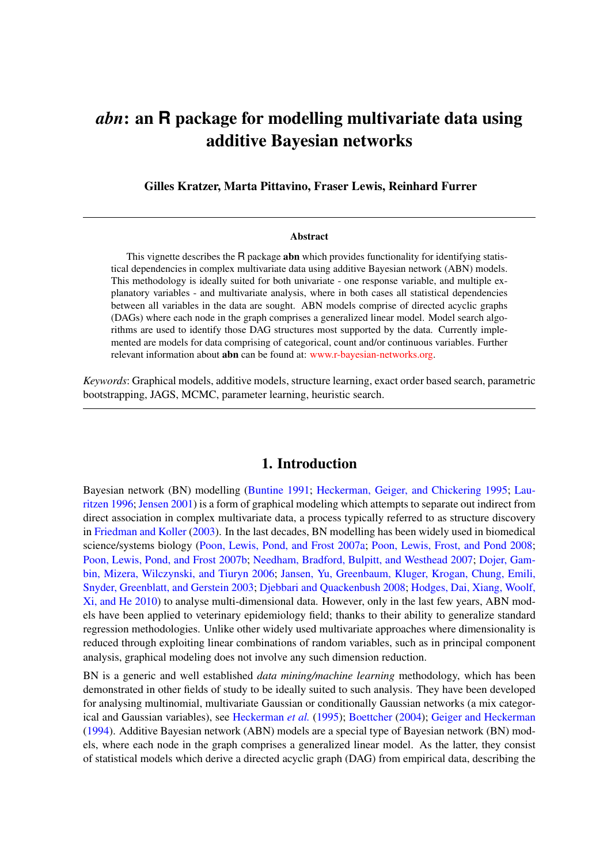# *abn*: an **R** package for modelling multivariate data using additive Bayesian networks

Gilles Kratzer, Marta Pittavino, Fraser Lewis, Reinhard Furrer

#### Abstract

This vignette describes the R package **abn** which provides functionality for identifying statistical dependencies in complex multivariate data using additive Bayesian network (ABN) models. This methodology is ideally suited for both univariate - one response variable, and multiple explanatory variables - and multivariate analysis, where in both cases all statistical dependencies between all variables in the data are sought. ABN models comprise of directed acyclic graphs (DAGs) where each node in the graph comprises a generalized linear model. Model search algorithms are used to identify those DAG structures most supported by the data. Currently implemented are models for data comprising of categorical, count and/or continuous variables. Further relevant information about abn can be found at: [www.r-bayesian-networks.org.](http://www.r-bayesian-networks.org)

*Keywords*: Graphical models, additive models, structure learning, exact order based search, parametric bootstrapping, JAGS, MCMC, parameter learning, heuristic search.

# 1. Introduction

Bayesian network (BN) modelling [\(Buntine](#page-36-0) [1991;](#page-36-0) [Heckerman, Geiger, and Chickering](#page-36-1) [1995;](#page-36-1) [Lau](#page-37-0)[ritzen](#page-37-0) [1996;](#page-37-0) [Jensen](#page-36-2) [2001\)](#page-36-2) is a form of graphical modeling which attempts to separate out indirect from direct association in complex multivariate data, a process typically referred to as structure discovery in [Friedman and Koller](#page-36-3) [\(2003\)](#page-36-3). In the last decades, BN modelling has been widely used in biomedical science/systems biology [\(Poon, Lewis, Pond, and Frost](#page-37-1) [2007a;](#page-37-1) [Poon, Lewis, Frost, and Pond](#page-37-2) [2008;](#page-37-2) [Poon, Lewis, Pond, and Frost](#page-37-3) [2007b;](#page-37-3) [Needham, Bradford, Bulpitt, and Westhead](#page-37-4) [2007;](#page-37-4) [Dojer, Gam](#page-36-4)[bin, Mizera, Wilczynski, and Tiuryn](#page-36-4) [2006;](#page-36-4) [Jansen, Yu, Greenbaum, Kluger, Krogan, Chung, Emili,](#page-36-5) [Snyder, Greenblatt, and Gerstein](#page-36-5) [2003;](#page-36-5) [Djebbari and Quackenbush](#page-36-6) [2008;](#page-36-6) [Hodges, Dai, Xiang, Woolf,](#page-36-7) [Xi, and He](#page-36-7) [2010\)](#page-36-7) to analyse multi-dimensional data. However, only in the last few years, ABN models have been applied to veterinary epidemiology field; thanks to their ability to generalize standard regression methodologies. Unlike other widely used multivariate approaches where dimensionality is reduced through exploiting linear combinations of random variables, such as in principal component analysis, graphical modeling does not involve any such dimension reduction.

BN is a generic and well established *data mining/machine learning* methodology, which has been demonstrated in other fields of study to be ideally suited to such analysis. They have been developed for analysing multinomial, multivariate Gaussian or conditionally Gaussian networks (a mix categorical and Gaussian variables), see [Heckerman](#page-36-1) *et al.* [\(1995\)](#page-36-1); [Boettcher](#page-36-8) [\(2004\)](#page-36-8); [Geiger and Heckerman](#page-36-9) [\(1994\)](#page-36-9). Additive Bayesian network (ABN) models are a special type of Bayesian network (BN) models, where each node in the graph comprises a generalized linear model. As the latter, they consist of statistical models which derive a directed acyclic graph (DAG) from empirical data, describing the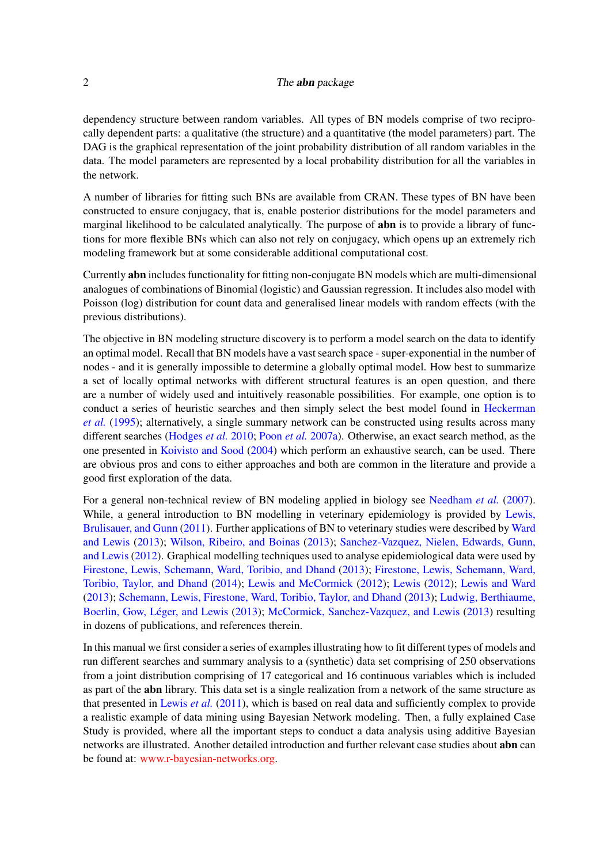### 2 The **abn** package

dependency structure between random variables. All types of BN models comprise of two reciprocally dependent parts: a qualitative (the structure) and a quantitative (the model parameters) part. The DAG is the graphical representation of the joint probability distribution of all random variables in the data. The model parameters are represented by a local probability distribution for all the variables in the network.

A number of libraries for fitting such BNs are available from CRAN. These types of BN have been constructed to ensure conjugacy, that is, enable posterior distributions for the model parameters and marginal likelihood to be calculated analytically. The purpose of **abn** is to provide a library of functions for more flexible BNs which can also not rely on conjugacy, which opens up an extremely rich modeling framework but at some considerable additional computational cost.

Currently abn includes functionality for fitting non-conjugate BN models which are multi-dimensional analogues of combinations of Binomial (logistic) and Gaussian regression. It includes also model with Poisson (log) distribution for count data and generalised linear models with random effects (with the previous distributions).

The objective in BN modeling structure discovery is to perform a model search on the data to identify an optimal model. Recall that BN models have a vast search space - super-exponential in the number of nodes - and it is generally impossible to determine a globally optimal model. How best to summarize a set of locally optimal networks with different structural features is an open question, and there are a number of widely used and intuitively reasonable possibilities. For example, one option is to conduct a series of heuristic searches and then simply select the best model found in [Heckerman](#page-36-1) *[et al.](#page-36-1)* [\(1995\)](#page-36-1); alternatively, a single summary network can be constructed using results across many different searches [\(Hodges](#page-36-7) *et al.* [2010;](#page-36-7) [Poon](#page-37-1) *et al.* [2007a\)](#page-37-1). Otherwise, an exact search method, as the one presented in [Koivisto and Sood](#page-36-10) [\(2004\)](#page-36-10) which perform an exhaustive search, can be used. There are obvious pros and cons to either approaches and both are common in the literature and provide a good first exploration of the data.

For a general non-technical review of BN modeling applied in biology see [Needham](#page-37-4) *et al.* [\(2007\)](#page-37-4). While, a general introduction to BN modelling in veterinary epidemiology is provided by [Lewis,](#page-37-5) [Brulisauer, and Gunn](#page-37-5) [\(2011\)](#page-37-5). Further applications of BN to veterinary studies were described by [Ward](#page-38-0) [and Lewis](#page-38-0) [\(2013\)](#page-38-0); [Wilson, Ribeiro, and Boinas](#page-38-1) [\(2013\)](#page-38-1); [Sanchez-Vazquez, Nielen, Edwards, Gunn,](#page-38-2) [and Lewis](#page-38-2) [\(2012\)](#page-38-2). Graphical modelling techniques used to analyse epidemiological data were used by [Firestone, Lewis, Schemann, Ward, Toribio, and Dhand](#page-36-11) [\(2013\)](#page-36-11); [Firestone, Lewis, Schemann, Ward,](#page-36-12) [Toribio, Taylor, and Dhand](#page-36-12) [\(2014\)](#page-36-12); [Lewis and McCormick](#page-37-6) [\(2012\)](#page-37-6); [Lewis](#page-37-7) [\(2012\)](#page-37-7); [Lewis and Ward](#page-37-8) [\(2013\)](#page-37-8); [Schemann, Lewis, Firestone, Ward, Toribio, Taylor, and Dhand](#page-38-3) [\(2013\)](#page-38-3); [Ludwig, Berthiaume,](#page-37-9) [Boerlin, Gow, Léger, and Lewis](#page-37-9) [\(2013\)](#page-37-9); [McCormick, Sanchez-Vazquez, and Lewis](#page-37-10) [\(2013\)](#page-37-10) resulting in dozens of publications, and references therein.

In this manual we first consider a series of examples illustrating how to fit different types of models and run different searches and summary analysis to a (synthetic) data set comprising of 250 observations from a joint distribution comprising of 17 categorical and 16 continuous variables which is included as part of the abn library. This data set is a single realization from a network of the same structure as that presented in [Lewis](#page-37-5) *et al.* [\(2011\)](#page-37-5), which is based on real data and sufficiently complex to provide a realistic example of data mining using Bayesian Network modeling. Then, a fully explained Case Study is provided, where all the important steps to conduct a data analysis using additive Bayesian networks are illustrated. Another detailed introduction and further relevant case studies about abn can be found at: [www.r-bayesian-networks.org.](http://www.r-bayesian-networks.org)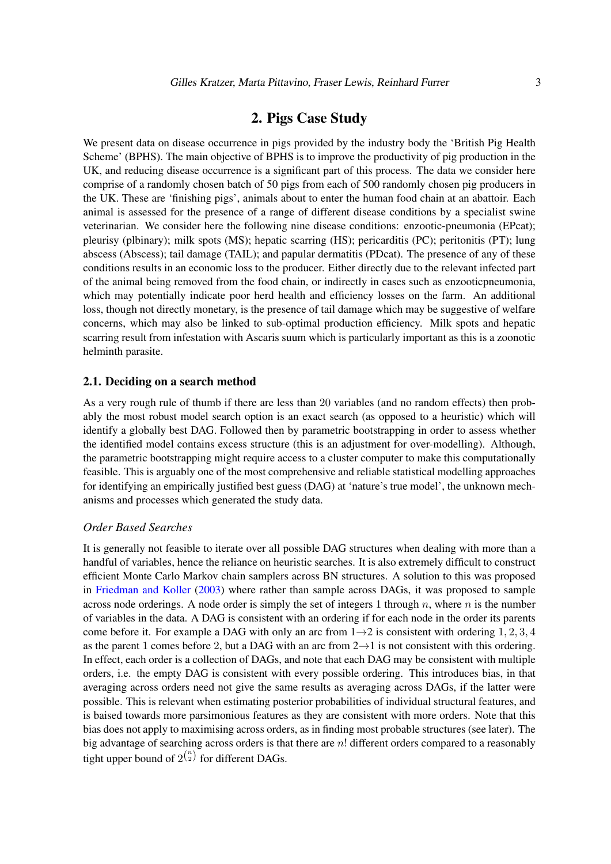# 2. Pigs Case Study

We present data on disease occurrence in pigs provided by the industry body the 'British Pig Health Scheme' (BPHS). The main objective of BPHS is to improve the productivity of pig production in the UK, and reducing disease occurrence is a significant part of this process. The data we consider here comprise of a randomly chosen batch of 50 pigs from each of 500 randomly chosen pig producers in the UK. These are 'finishing pigs', animals about to enter the human food chain at an abattoir. Each animal is assessed for the presence of a range of different disease conditions by a specialist swine veterinarian. We consider here the following nine disease conditions: enzootic-pneumonia (EPcat); pleurisy (plbinary); milk spots (MS); hepatic scarring (HS); pericarditis (PC); peritonitis (PT); lung abscess (Abscess); tail damage (TAIL); and papular dermatitis (PDcat). The presence of any of these conditions results in an economic loss to the producer. Either directly due to the relevant infected part of the animal being removed from the food chain, or indirectly in cases such as enzooticpneumonia, which may potentially indicate poor herd health and efficiency losses on the farm. An additional loss, though not directly monetary, is the presence of tail damage which may be suggestive of welfare concerns, which may also be linked to sub-optimal production efficiency. Milk spots and hepatic scarring result from infestation with Ascaris suum which is particularly important as this is a zoonotic helminth parasite.

### 2.1. Deciding on a search method

As a very rough rule of thumb if there are less than 20 variables (and no random effects) then probably the most robust model search option is an exact search (as opposed to a heuristic) which will identify a globally best DAG. Followed then by parametric bootstrapping in order to assess whether the identified model contains excess structure (this is an adjustment for over-modelling). Although, the parametric bootstrapping might require access to a cluster computer to make this computationally feasible. This is arguably one of the most comprehensive and reliable statistical modelling approaches for identifying an empirically justified best guess (DAG) at 'nature's true model', the unknown mechanisms and processes which generated the study data.

## *Order Based Searches*

It is generally not feasible to iterate over all possible DAG structures when dealing with more than a handful of variables, hence the reliance on heuristic searches. It is also extremely difficult to construct efficient Monte Carlo Markov chain samplers across BN structures. A solution to this was proposed in [Friedman and Koller](#page-36-3) [\(2003\)](#page-36-3) where rather than sample across DAGs, it was proposed to sample across node orderings. A node order is simply the set of integers 1 through n, where n is the number of variables in the data. A DAG is consistent with an ordering if for each node in the order its parents come before it. For example a DAG with only an arc from  $1\rightarrow 2$  is consistent with ordering 1, 2, 3, 4 as the parent 1 comes before 2, but a DAG with an arc from  $2\rightarrow 1$  is not consistent with this ordering. In effect, each order is a collection of DAGs, and note that each DAG may be consistent with multiple orders, i.e. the empty DAG is consistent with every possible ordering. This introduces bias, in that averaging across orders need not give the same results as averaging across DAGs, if the latter were possible. This is relevant when estimating posterior probabilities of individual structural features, and is baised towards more parsimonious features as they are consistent with more orders. Note that this bias does not apply to maximising across orders, as in finding most probable structures (see later). The big advantage of searching across orders is that there are  $n!$  different orders compared to a reasonably tight upper bound of  $2^{n \choose 2}$  for different DAGs.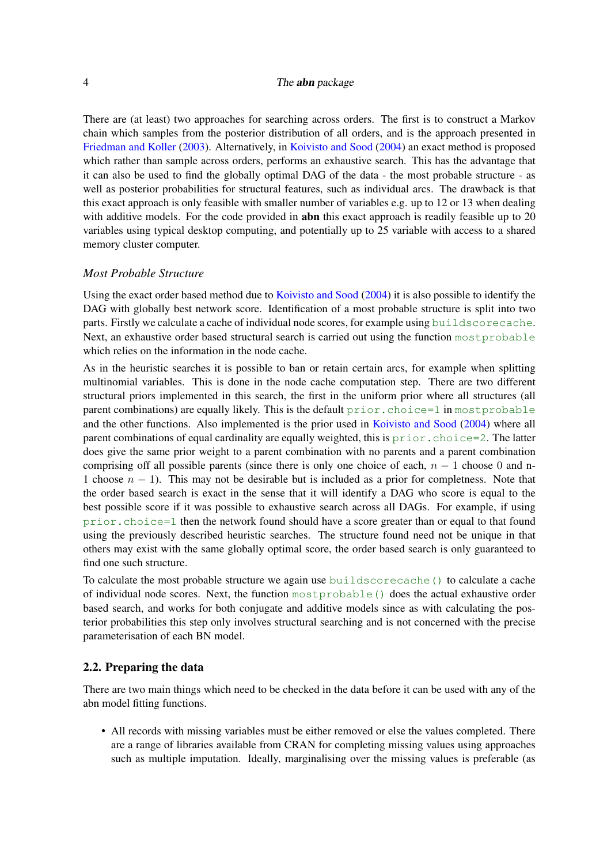There are (at least) two approaches for searching across orders. The first is to construct a Markov chain which samples from the posterior distribution of all orders, and is the approach presented in [Friedman and Koller](#page-36-3) [\(2003\)](#page-36-3). Alternatively, in [Koivisto and Sood](#page-36-10) [\(2004\)](#page-36-10) an exact method is proposed which rather than sample across orders, performs an exhaustive search. This has the advantage that it can also be used to find the globally optimal DAG of the data - the most probable structure - as well as posterior probabilities for structural features, such as individual arcs. The drawback is that this exact approach is only feasible with smaller number of variables e.g. up to 12 or 13 when dealing with additive models. For the code provided in **abn** this exact approach is readily feasible up to 20 variables using typical desktop computing, and potentially up to 25 variable with access to a shared memory cluster computer.

#### *Most Probable Structure*

Using the exact order based method due to [Koivisto and Sood](#page-36-10) [\(2004\)](#page-36-10) it is also possible to identify the DAG with globally best network score. Identification of a most probable structure is split into two parts. Firstly we calculate a cache of individual node scores, for example using buildscorecache. Next, an exhaustive order based structural search is carried out using the function mostprobable which relies on the information in the node cache.

As in the heuristic searches it is possible to ban or retain certain arcs, for example when splitting multinomial variables. This is done in the node cache computation step. There are two different structural priors implemented in this search, the first in the uniform prior where all structures (all parent combinations) are equally likely. This is the default  $prior.choice=1$  in mostprobable and the other functions. Also implemented is the prior used in [Koivisto and Sood](#page-36-10) [\(2004\)](#page-36-10) where all parent combinations of equal cardinality are equally weighted, this is  $prior$ . choice=2. The latter does give the same prior weight to a parent combination with no parents and a parent combination comprising off all possible parents (since there is only one choice of each,  $n - 1$  choose 0 and n-1 choose  $n - 1$ ). This may not be desirable but is included as a prior for completness. Note that the order based search is exact in the sense that it will identify a DAG who score is equal to the best possible score if it was possible to exhaustive search across all DAGs. For example, if using prior.choice=1 then the network found should have a score greater than or equal to that found using the previously described heuristic searches. The structure found need not be unique in that others may exist with the same globally optimal score, the order based search is only guaranteed to find one such structure.

To calculate the most probable structure we again use buildscorecache() to calculate a cache of individual node scores. Next, the function mostprobable() does the actual exhaustive order based search, and works for both conjugate and additive models since as with calculating the posterior probabilities this step only involves structural searching and is not concerned with the precise parameterisation of each BN model.

### 2.2. Preparing the data

There are two main things which need to be checked in the data before it can be used with any of the abn model fitting functions.

• All records with missing variables must be either removed or else the values completed. There are a range of libraries available from CRAN for completing missing values using approaches such as multiple imputation. Ideally, marginalising over the missing values is preferable (as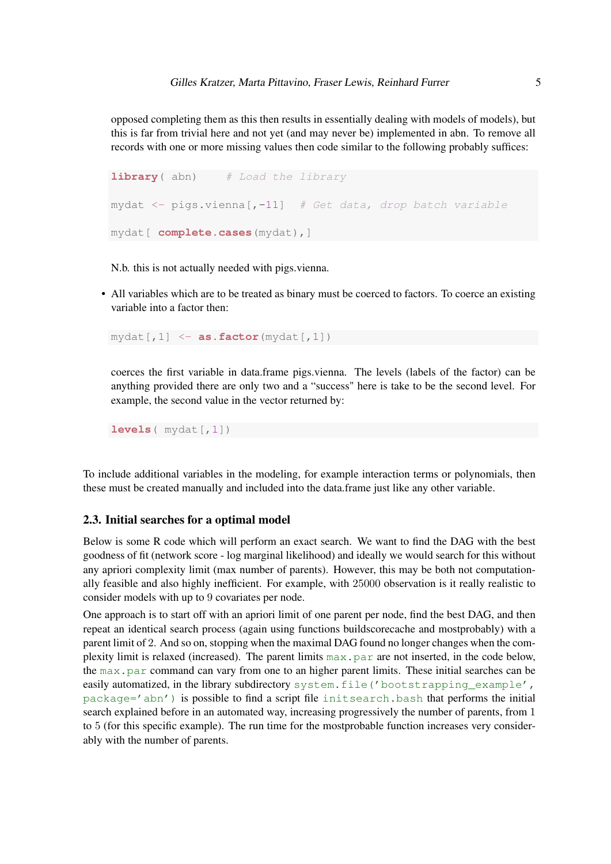opposed completing them as this then results in essentially dealing with models of models), but this is far from trivial here and not yet (and may never be) implemented in abn. To remove all records with one or more missing values then code similar to the following probably suffices:

```
library (abn) # Load the library
mydat \leq pigs.vienna[,-11] # Get data, drop batch variable
mydat[ complete.cases(mydat),]
```
N.b. this is not actually needed with pigs.vienna.

• All variables which are to be treated as binary must be coerced to factors. To coerce an existing variable into a factor then:

 $mydat[, 1] < -$  **as.factor**( $mydat[, 1]$ )

coerces the first variable in data.frame pigs.vienna. The levels (labels of the factor) can be anything provided there are only two and a "success" here is take to be the second level. For example, the second value in the vector returned by:

**levels**( $mydat$ [, 1])

To include additional variables in the modeling, for example interaction terms or polynomials, then these must be created manually and included into the data.frame just like any other variable.

#### 2.3. Initial searches for a optimal model

Below is some R code which will perform an exact search. We want to find the DAG with the best goodness of fit (network score - log marginal likelihood) and ideally we would search for this without any apriori complexity limit (max number of parents). However, this may be both not computationally feasible and also highly inefficient. For example, with 25000 observation is it really realistic to consider models with up to 9 covariates per node.

One approach is to start off with an apriori limit of one parent per node, find the best DAG, and then repeat an identical search process (again using functions buildscorecache and mostprobably) with a parent limit of 2. And so on, stopping when the maximal DAG found no longer changes when the complexity limit is relaxed (increased). The parent limits max.par are not inserted, in the code below, the max.par command can vary from one to an higher parent limits. These initial searches can be easily automatized, in the library subdirectory system.file('bootstrapping example', package='abn') is possible to find a script file initsearch.bash that performs the initial search explained before in an automated way, increasing progressively the number of parents, from 1 to 5 (for this specific example). The run time for the mostprobable function increases very considerably with the number of parents.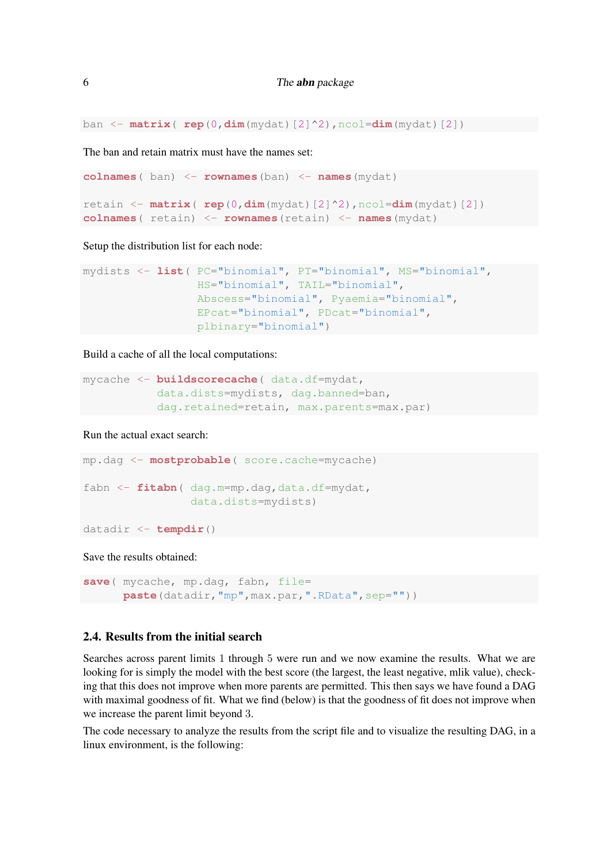ban <- **matrix**( **rep**(0,**dim**(mydat)[2]^2),ncol=**dim**(mydat)[2])

The ban and retain matrix must have the names set:

```
colnames( ban) <- rownames(ban) <- names(mydat)
retain <- matrix( rep(0,dim(mydat)[2]^2),ncol=dim(mydat)[2])
colnames( retain) <- rownames(retain) <- names(mydat)
```
Setup the distribution list for each node:

```
mydists <- list( PC="binomial", PT="binomial", MS="binomial",
                 HS="binomial", TAIL="binomial",
                 Abscess="binomial", Pyaemia="binomial",
                 EPcat="binomial", PDcat="binomial",
                 plbinary="binomial")
```
Build a cache of all the local computations:

```
mycache <- buildscorecache( data.df=mydat,
           data.dists=mydists, dag.banned=ban,
           dag.retained=retain, max.parents=max.par)
```
Run the actual exact search:

```
mp.dag <- mostprobable( score.cache=mycache)
fabn <- fitabn( dag.m=mp.dag,data.df=mydat,
                data.dists=mydists)
```
datadir <- **tempdir**()

Save the results obtained:

```
save( mycache, mp.dag, fabn, file=
      paste(datadir, "mp", max.par, ".RData", sep=""))
```
## 2.4. Results from the initial search

Searches across parent limits 1 through 5 were run and we now examine the results. What we are looking for is simply the model with the best score (the largest, the least negative, mlik value), checking that this does not improve when more parents are permitted. This then says we have found a DAG with maximal goodness of fit. What we find (below) is that the goodness of fit does not improve when we increase the parent limit beyond 3.

The code necessary to analyze the results from the script file and to visualize the resulting DAG, in a linux environment, is the following: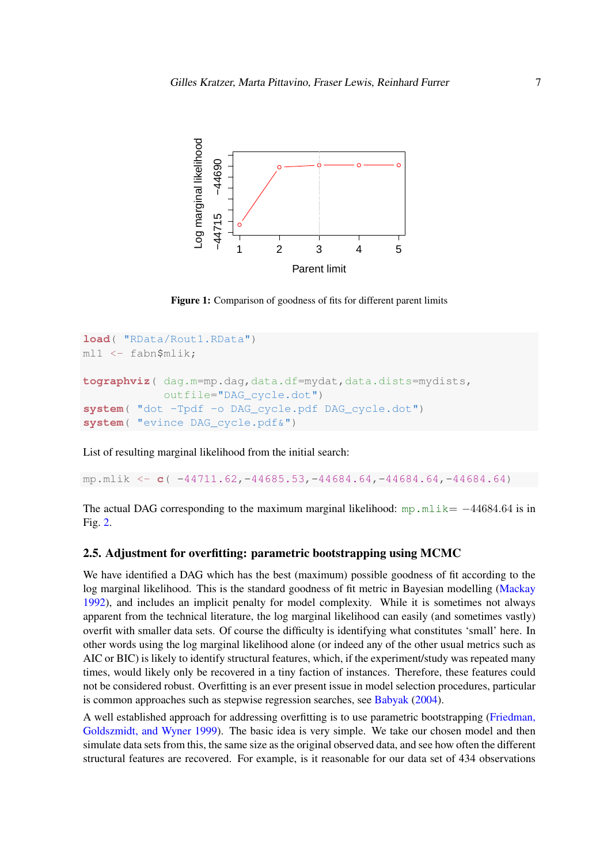<span id="page-6-0"></span>

Figure 1: Comparison of goodness of fits for different parent limits

```
load( "RData/Rout1.RData")
ml1 <- fabn$mlik;
tographviz( dag.m=mp.dag,data.df=mydat,data.dists=mydists,
            outfile="DAG_cycle.dot")
system( "dot -Tpdf -o DAG_cycle.pdf DAG_cycle.dot")
system( "evince DAG_cycle.pdf&")
```
List of resulting marginal likelihood from the initial search:

mp.mlik <- **c**( -44711.62,-44685.53,-44684.64,-44684.64,-44684.64)

The actual DAG corresponding to the maximum marginal likelihood: mp.mlik=  $-44684.64$  is in Fig. [2.](#page-7-0)

### 2.5. Adjustment for overfitting: parametric bootstrapping using MCMC

We have identified a DAG which has the best (maximum) possible goodness of fit according to the log marginal likelihood. This is the standard goodness of fit metric in Bayesian modelling [\(Mackay](#page-37-11) [1992\)](#page-37-11), and includes an implicit penalty for model complexity. While it is sometimes not always apparent from the technical literature, the log marginal likelihood can easily (and sometimes vastly) overfit with smaller data sets. Of course the difficulty is identifying what constitutes 'small' here. In other words using the log marginal likelihood alone (or indeed any of the other usual metrics such as AIC or BIC) is likely to identify structural features, which, if the experiment/study was repeated many times, would likely only be recovered in a tiny faction of instances. Therefore, these features could not be considered robust. Overfitting is an ever present issue in model selection procedures, particular is common approaches such as stepwise regression searches, see [Babyak](#page-36-13) [\(2004\)](#page-36-13).

A well established approach for addressing overfitting is to use parametric bootstrapping [\(Friedman,](#page-36-14) [Goldszmidt, and Wyner](#page-36-14) [1999\)](#page-36-14). The basic idea is very simple. We take our chosen model and then simulate data sets from this, the same size as the original observed data, and see how often the different structural features are recovered. For example, is it reasonable for our data set of 434 observations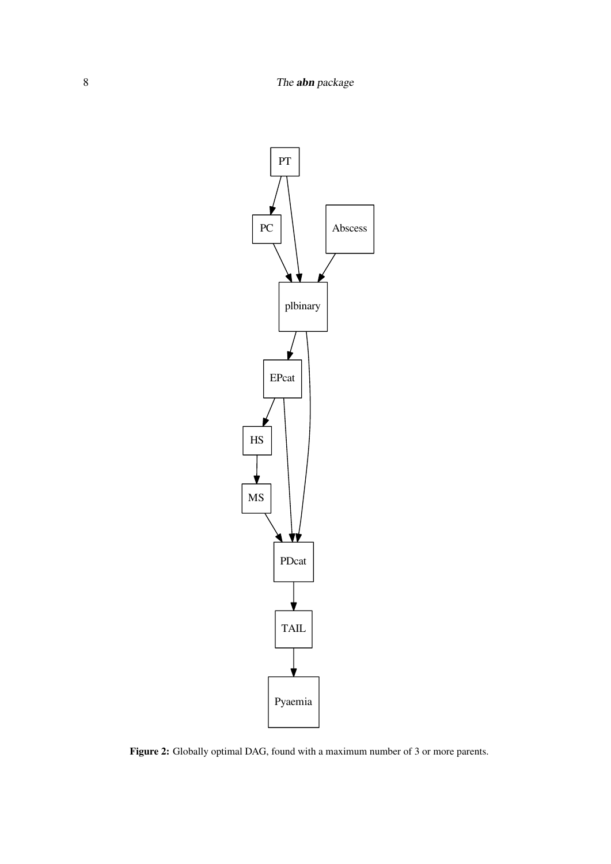<span id="page-7-0"></span>

Figure 2: Globally optimal DAG, found with a maximum number of 3 or more parents.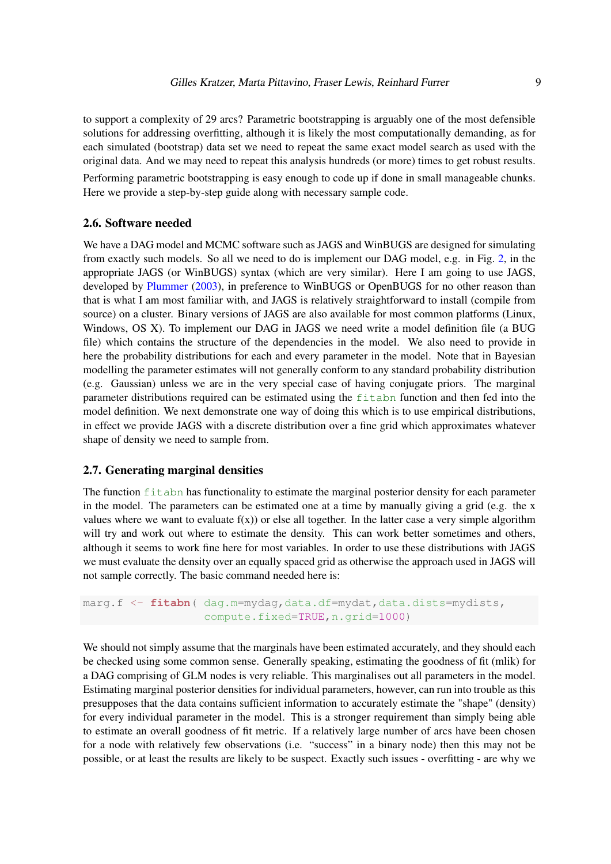to support a complexity of 29 arcs? Parametric bootstrapping is arguably one of the most defensible solutions for addressing overfitting, although it is likely the most computationally demanding, as for each simulated (bootstrap) data set we need to repeat the same exact model search as used with the original data. And we may need to repeat this analysis hundreds (or more) times to get robust results. Performing parametric bootstrapping is easy enough to code up if done in small manageable chunks.

Here we provide a step-by-step guide along with necessary sample code.

# 2.6. Software needed

We have a DAG model and MCMC software such as JAGS and WinBUGS are designed for simulating from exactly such models. So all we need to do is implement our DAG model, e.g. in Fig. [2,](#page-7-0) in the appropriate JAGS (or WinBUGS) syntax (which are very similar). Here I am going to use JAGS, developed by [Plummer](#page-37-12) [\(2003\)](#page-37-12), in preference to WinBUGS or OpenBUGS for no other reason than that is what I am most familiar with, and JAGS is relatively straightforward to install (compile from source) on a cluster. Binary versions of JAGS are also available for most common platforms (Linux, Windows, OS X). To implement our DAG in JAGS we need write a model definition file (a BUG file) which contains the structure of the dependencies in the model. We also need to provide in here the probability distributions for each and every parameter in the model. Note that in Bayesian modelling the parameter estimates will not generally conform to any standard probability distribution (e.g. Gaussian) unless we are in the very special case of having conjugate priors. The marginal parameter distributions required can be estimated using the fit abn function and then fed into the model definition. We next demonstrate one way of doing this which is to use empirical distributions, in effect we provide JAGS with a discrete distribution over a fine grid which approximates whatever shape of density we need to sample from.

### 2.7. Generating marginal densities

The function  $fitab$  has functionality to estimate the marginal posterior density for each parameter in the model. The parameters can be estimated one at a time by manually giving a grid (e.g. the x values where we want to evaluate  $f(x)$  or else all together. In the latter case a very simple algorithm will try and work out where to estimate the density. This can work better sometimes and others, although it seems to work fine here for most variables. In order to use these distributions with JAGS we must evaluate the density over an equally spaced grid as otherwise the approach used in JAGS will not sample correctly. The basic command needed here is:

```
marg.f <- fitabn ( dag.m=mydag, data.df=mydat, data.dists=mydists,
                  compute.fixed=TRUE,n.grid=1000)
```
We should not simply assume that the marginals have been estimated accurately, and they should each be checked using some common sense. Generally speaking, estimating the goodness of fit (mlik) for a DAG comprising of GLM nodes is very reliable. This marginalises out all parameters in the model. Estimating marginal posterior densities for individual parameters, however, can run into trouble as this presupposes that the data contains sufficient information to accurately estimate the "shape" (density) for every individual parameter in the model. This is a stronger requirement than simply being able to estimate an overall goodness of fit metric. If a relatively large number of arcs have been chosen for a node with relatively few observations (i.e. "success" in a binary node) then this may not be possible, or at least the results are likely to be suspect. Exactly such issues - overfitting - are why we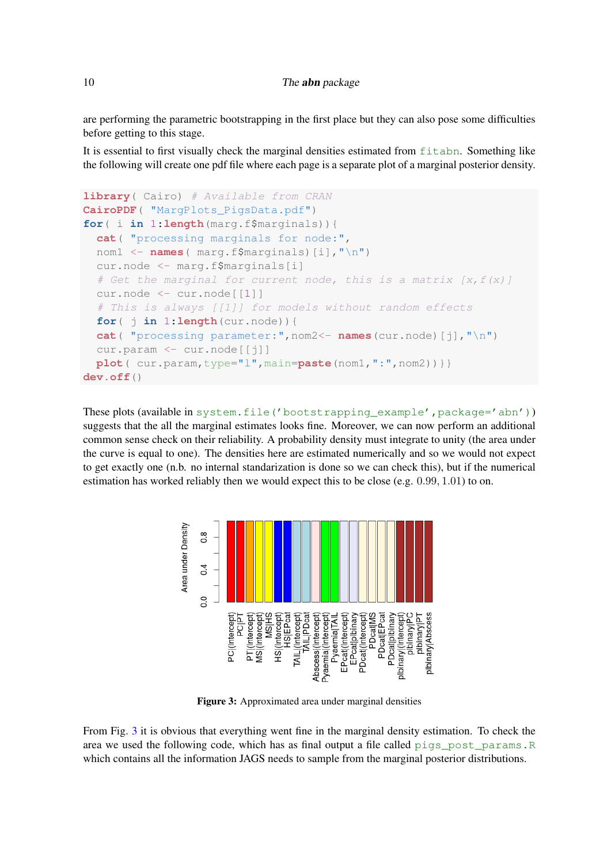### 10 The **abn** package

are performing the parametric bootstrapping in the first place but they can also pose some difficulties before getting to this stage.

It is essential to first visually check the marginal densities estimated from fitabn. Something like the following will create one pdf file where each page is a separate plot of a marginal posterior density.

```
library( Cairo) # Available from CRAN
CairoPDF( "MargPlots_PigsData.pdf")
for( i in 1:length(marg.f$marginals)){
 cat( "processing marginals for node:",
 nom1 <- names( marg.f$marginals)[i],"\n")
 cur.node <- marg.f$marginals[i]
  # Get the marginal for current node, this is a matrix [x, f(x)]cur.node <- cur.node[[1]]
  # This is always [[1]] for models without random effects
 for( j in 1:length(cur.node)){
 cat( "processing parameter:",nom2<- names(cur.node)[j],"\n")
 cur.param <- cur.node[[j]]
 plot( cur.param, type="l", main=paste(nom1, ":", nom2)) } }
dev.off()
```
These plots (available in system.file('bootstrapping\_example',package='abn')) suggests that the all the marginal estimates looks fine. Moreover, we can now perform an additional common sense check on their reliability. A probability density must integrate to unity (the area under the curve is equal to one). The densities here are estimated numerically and so we would not expect to get exactly one (n.b. no internal standarization is done so we can check this), but if the numerical estimation has worked reliably then we would expect this to be close (e.g.  $0.99, 1.01$ ) to on.

<span id="page-9-0"></span>

Figure 3: Approximated area under marginal densities

From Fig. [3](#page-9-0) it is obvious that everything went fine in the marginal density estimation. To check the area we used the following code, which has as final output a file called pigs\_post\_params.R which contains all the information JAGS needs to sample from the marginal posterior distributions.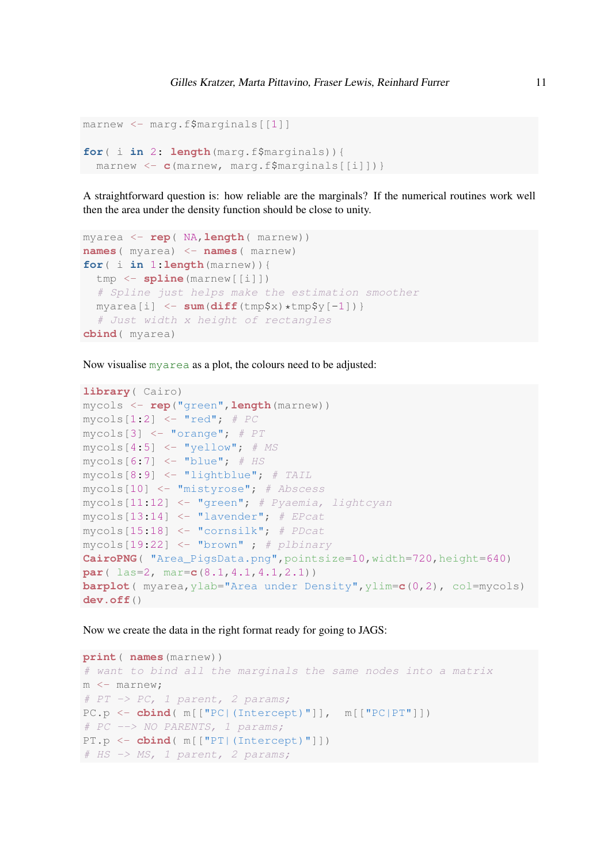```
marnew <- marg.f$marginals[[1]]
for( i in 2: length(marg.f$marginals)){
marnew <- c(marnew, marg.f$marginals[[i]])}
```
A straightforward question is: how reliable are the marginals? If the numerical routines work well then the area under the density function should be close to unity.

```
myarea <- rep( NA,length( marnew))
names( myarea) <- names( marnew)
for( i in 1:length(marnew)){
  tmp <- spline(marnew[[i]])
  # Spline just helps make the estimation smoother
 myarea[i] <- sum(diff(tmp$x)*tmp$y[-1])}
  # Just width x height of rectangles
cbind( myarea)
```
Now visualise myarea as a plot, the colours need to be adjusted:

```
library( Cairo)
mycols <- rep("green",length(marnew))
mycols[1:2] < - "red"; # PCmycols[3] <- "orange"; # PT
mycols[4:5] \leftarrow "yellow"; # MSmycols[6:7] < - "blue"; # HSmycols[8:9] <- "lightblue"; # TAIL
mycols[10] <- "mistyrose"; # Abscess
mycols[11:12] <- "green"; # Pyaemia, lightcyan
mycols[13:14] \leftarrow "lavender"; # EPcatmycols[15:18] <- "cornsilk"; # PDcat
mycols[19:22] \leftarrow "brown" ; # plbinaryCairoPNG( "Area_PigsData.png",pointsize=10,width=720,height=640)
par( las=2, mar=c(8.1,4.1,4.1,2.1))
barplot( myarea,ylab="Area under Density",ylim=c(0,2), col=mycols)
dev.off()
```
Now we create the data in the right format ready for going to JAGS:

```
print( names(marnew))
# want to bind all the marginals the same nodes into a matrix
m <- marnew;
# PT -> PC, 1 parent, 2 params;
PC.p <- cbind( m[["PC|(Intercept)"]], m[["PC|PT"]])
# PC --> NO PARENTS, 1 params;
PT.p <- cbind( m[["PT|(Intercept)"]])
# HS -> MS, 1 parent, 2 params;
```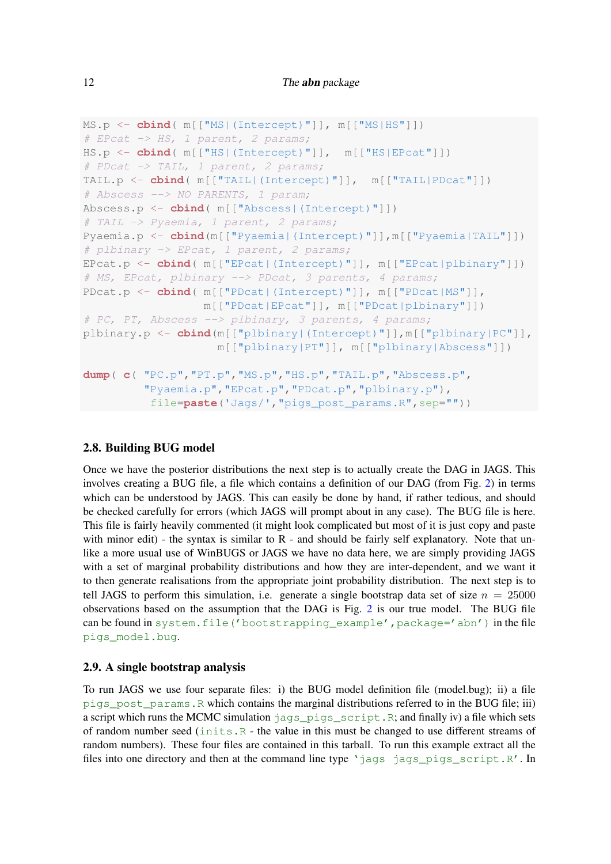```
MS.p <- cbind( m[["MS|(Intercept)"]], m[["MS|HS"]])
# EPcat -> HS, 1 parent, 2 params;
HS.p <- cbind( m[["HS|(Intercept)"]], m[["HS|EPcat"]])
# PDcat -> TAIL, 1 parent, 2 params;
TAIL.p <- cbind( m[["TAIL|(Intercept)"]], m[["TAIL|PDcat"]])
# Abscess --> NO PARENTS, 1 param;
Abscess.p <- cbind( m[["Abscess|(Intercept)"]])
# TAIL -> Pyaemia, 1 parent, 2 params;
Pyaemia.p <- cbind(m[["Pyaemia|(Intercept)"]],m[["Pyaemia|TAIL"]])
# plbinary -> EPcat, 1 parent, 2 params;
EPcat.p <- cbind( m[["EPcat|(Intercept)"]], m[["EPcat|plbinary"]])
# MS, EPcat, plbinary --> PDcat, 3 parents, 4 params;
PDcat.p <- cbind( m[["PDcat|(Intercept)"]], m[["PDcat|MS"]],
                  m[["PDcat|EPcat"]], m[["PDcat|plbinary"]])
# PC, PT, Abscess --> plbinary, 3 parents, 4 params;
plbinary.p <- cbind(m[["plbinary|(Intercept)"]],m[["plbinary|PC"]],
                    m[["plbinary|PT"]], m[["plbinary|Abscess"]])
dump( c( "PC.p","PT.p","MS.p","HS.p","TAIL.p","Abscess.p",
         "Pyaemia.p","EPcat.p","PDcat.p","plbinary.p"),
          file=paste('Jags/',"pigs_post_params.R",sep=""))
```
### 2.8. Building BUG model

Once we have the posterior distributions the next step is to actually create the DAG in JAGS. This involves creating a BUG file, a file which contains a definition of our DAG (from Fig. [2\)](#page-7-0) in terms which can be understood by JAGS. This can easily be done by hand, if rather tedious, and should be checked carefully for errors (which JAGS will prompt about in any case). The BUG file is here. This file is fairly heavily commented (it might look complicated but most of it is just copy and paste with minor edit) - the syntax is similar to R - and should be fairly self explanatory. Note that unlike a more usual use of WinBUGS or JAGS we have no data here, we are simply providing JAGS with a set of marginal probability distributions and how they are inter-dependent, and we want it to then generate realisations from the appropriate joint probability distribution. The next step is to tell JAGS to perform this simulation, i.e. generate a single bootstrap data set of size  $n = 25000$ observations based on the assumption that the DAG is Fig. [2](#page-7-0) is our true model. The BUG file can be found in system.file('bootstrapping\_example', package='abn') in the file pigs\_model.bug.

## 2.9. A single bootstrap analysis

To run JAGS we use four separate files: i) the BUG model definition file (model.bug); ii) a file pigs\_post\_params.R which contains the marginal distributions referred to in the BUG file; iii) a script which runs the MCMC simulation  $jags\_pigs\_scriptpt$ .R; and finally iv) a file which sets of random number seed (inits.R - the value in this must be changed to use different streams of random numbers). These four files are contained in this tarball. To run this example extract all the files into one directory and then at the command line type 'jags jags pigs script.R'. In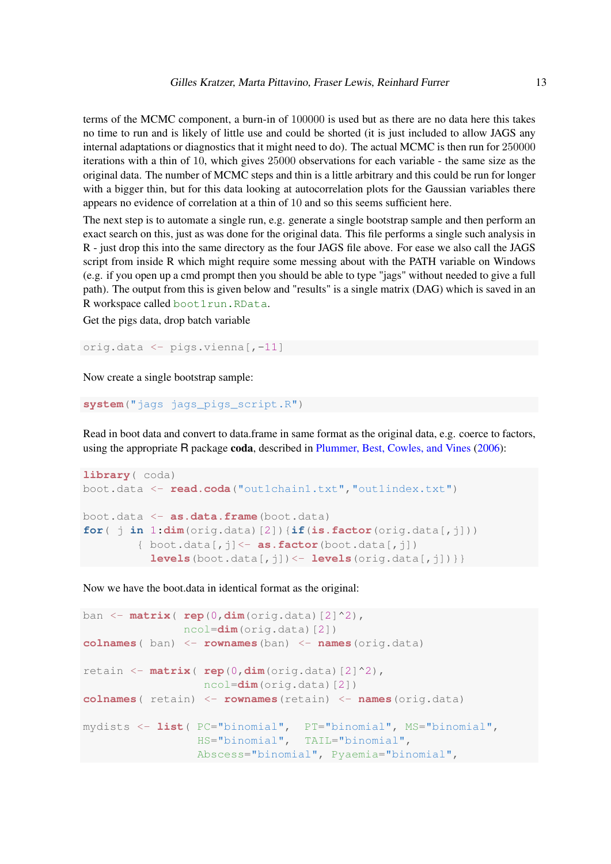terms of the MCMC component, a burn-in of 100000 is used but as there are no data here this takes no time to run and is likely of little use and could be shorted (it is just included to allow JAGS any internal adaptations or diagnostics that it might need to do). The actual MCMC is then run for 250000 iterations with a thin of 10, which gives 25000 observations for each variable - the same size as the original data. The number of MCMC steps and thin is a little arbitrary and this could be run for longer with a bigger thin, but for this data looking at autocorrelation plots for the Gaussian variables there appears no evidence of correlation at a thin of 10 and so this seems sufficient here.

The next step is to automate a single run, e.g. generate a single bootstrap sample and then perform an exact search on this, just as was done for the original data. This file performs a single such analysis in R - just drop this into the same directory as the four JAGS file above. For ease we also call the JAGS script from inside R which might require some messing about with the PATH variable on Windows (e.g. if you open up a cmd prompt then you should be able to type "jags" without needed to give a full path). The output from this is given below and "results" is a single matrix (DAG) which is saved in an R workspace called boot1run.RData.

Get the pigs data, drop batch variable

orig.data <- pigs.vienna[,-11]

Now create a single bootstrap sample:

**system**("jags jags\_pigs\_script.R")

Read in boot data and convert to data.frame in same format as the original data, e.g. coerce to factors, using the appropriate R package coda, described in [Plummer, Best, Cowles, and Vines](#page-37-13) [\(2006\)](#page-37-13):

```
library( coda)
boot.data <- read.coda("out1chain1.txt","out1index.txt")
boot.data <- as.data.frame(boot.data)
for( j in 1:dim(orig.data)[2]){if(is.factor(orig.data[,j]))
        { boot.data[,j]<- as.factor(boot.data[,j])
          levels(boot.data[,j]) <- levels(orig.data[,j]) } }
```
Now we have the boot.data in identical format as the original:

```
ban <- matrix( rep(0,dim(orig.data)[2]^2),
               ncol=dim(orig.data)[2])
colnames( ban) <- rownames(ban) <- names(orig.data)
retain <- matrix( rep(0,dim(orig.data)[2]^2),
                  ncol=dim(orig.data)[2])
colnames( retain) <- rownames(retain) <- names(orig.data)
mydists <- list( PC="binomial", PT="binomial", MS="binomial",
                 HS="binomial", TAIL="binomial",
                 Abscess="binomial", Pyaemia="binomial",
```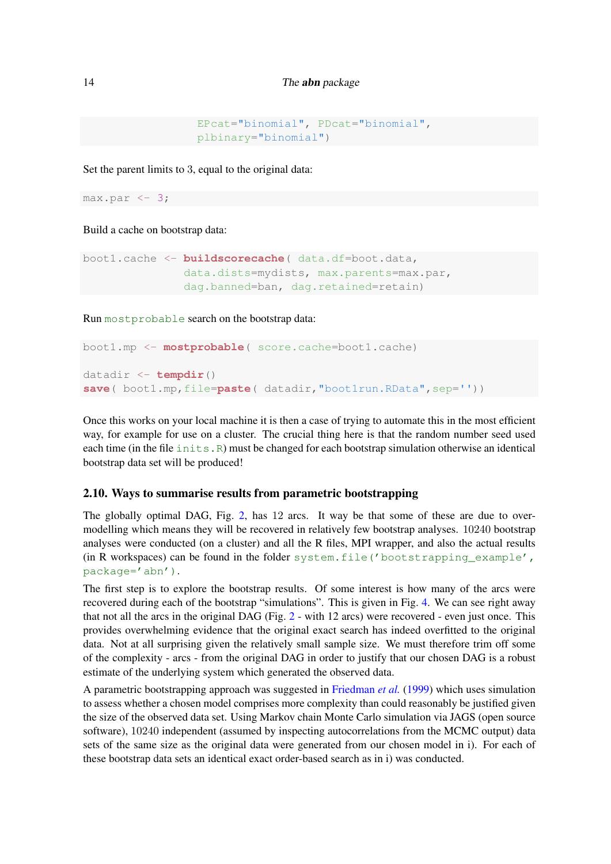```
EPcat="binomial", PDcat="binomial",
plbinary="binomial")
```
Set the parent limits to 3, equal to the original data:

 $max.par \leftarrow 3;$ 

Build a cache on bootstrap data:

```
boot1.cache <- buildscorecache( data.df=boot.data,
               data.dists=mydists, max.parents=max.par,
               dag.banned=ban, dag.retained=retain)
```
Run mostprobable search on the bootstrap data:

```
boot1.mp <- mostprobable( score.cache=boot1.cache)
datadir <- tempdir()
save( boot1.mp,file=paste( datadir,"boot1run.RData",sep=''))
```
Once this works on your local machine it is then a case of trying to automate this in the most efficient way, for example for use on a cluster. The crucial thing here is that the random number seed used each time (in the file  $inits$ . R) must be changed for each bootstrap simulation otherwise an identical bootstrap data set will be produced!

### 2.10. Ways to summarise results from parametric bootstrapping

The globally optimal DAG, Fig. [2,](#page-7-0) has 12 arcs. It way be that some of these are due to overmodelling which means they will be recovered in relatively few bootstrap analyses. 10240 bootstrap analyses were conducted (on a cluster) and all the R files, MPI wrapper, and also the actual results (in R workspaces) can be found in the folder system.file('bootstrapping\_example', package='abn').

The first step is to explore the bootstrap results. Of some interest is how many of the arcs were recovered during each of the bootstrap "simulations". This is given in Fig. [4.](#page-14-0) We can see right away that not all the arcs in the original DAG (Fig. [2](#page-7-0) - with 12 arcs) were recovered - even just once. This provides overwhelming evidence that the original exact search has indeed overfitted to the original data. Not at all surprising given the relatively small sample size. We must therefore trim off some of the complexity - arcs - from the original DAG in order to justify that our chosen DAG is a robust estimate of the underlying system which generated the observed data.

A parametric bootstrapping approach was suggested in [Friedman](#page-36-14) *et al.* [\(1999\)](#page-36-14) which uses simulation to assess whether a chosen model comprises more complexity than could reasonably be justified given the size of the observed data set. Using Markov chain Monte Carlo simulation via JAGS (open source software), 10240 independent (assumed by inspecting autocorrelations from the MCMC output) data sets of the same size as the original data were generated from our chosen model in i). For each of these bootstrap data sets an identical exact order-based search as in i) was conducted.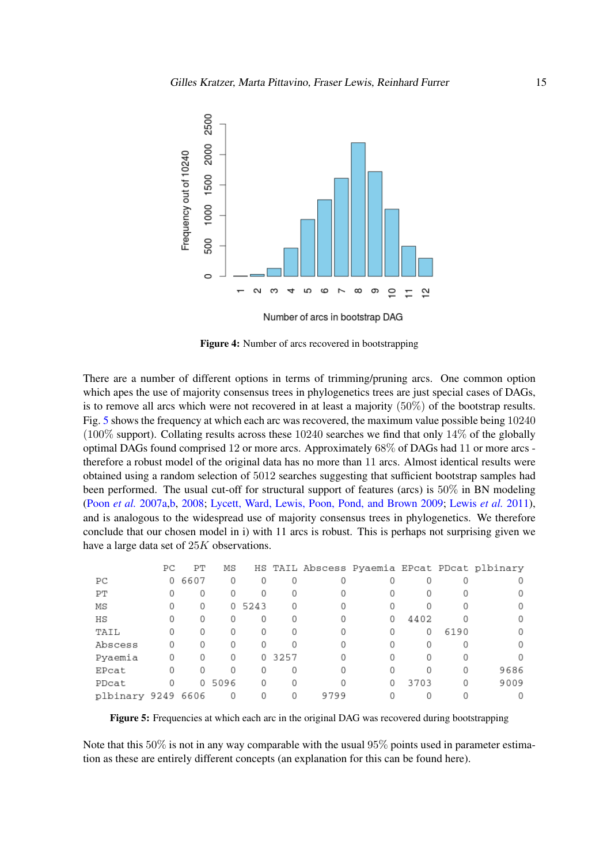<span id="page-14-0"></span>

Figure 4: Number of arcs recovered in bootstrapping

There are a number of different options in terms of trimming/pruning arcs. One common option which apes the use of majority consensus trees in phylogenetics trees are just special cases of DAGs, is to remove all arcs which were not recovered in at least a majority (50%) of the bootstrap results. Fig. [5](#page-14-1) shows the frequency at which each arc was recovered, the maximum value possible being 10240 (100% support). Collating results across these 10240 searches we find that only 14% of the globally optimal DAGs found comprised 12 or more arcs. Approximately 68% of DAGs had 11 or more arcs therefore a robust model of the original data has no more than 11 arcs. Almost identical results were obtained using a random selection of 5012 searches suggesting that sufficient bootstrap samples had been performed. The usual cut-off for structural support of features (arcs) is 50% in BN modeling [\(Poon](#page-37-1) *et al.* [2007a,](#page-37-1)[b,](#page-37-3) [2008;](#page-37-2) [Lycett, Ward, Lewis, Poon, Pond, and Brown](#page-37-14) [2009;](#page-37-14) [Lewis](#page-37-5) *et al.* [2011\)](#page-37-5), and is analogous to the widespread use of majority consensus trees in phylogenetics. We therefore conclude that our chosen model in i) with 11 arcs is robust. This is perhaps not surprising given we have a large data set of 25K observations.

<span id="page-14-1"></span>

|                    | PС | PТ       | ΜS   |          |      |      |   |      |      | HS TAIL Abscess Pyaemia EPcat PDcat plbinary |
|--------------------|----|----------|------|----------|------|------|---|------|------|----------------------------------------------|
| РC                 | 0  | 6607     | 0    | $\Omega$ | 0    |      |   |      |      |                                              |
| PT                 |    | 0        | 0    |          | 0    |      |   |      |      |                                              |
| ΜS                 | 0  | 0        | 0    | 5243     | 0    |      |   |      |      |                                              |
| ΗS                 |    | 0        | 0    |          | 0    |      | 0 | 4402 |      |                                              |
| TAIL               |    | 0        | 0    |          | 0    |      |   | 0    | 6190 |                                              |
| Abscess            | 0  | $\Omega$ | 0    |          |      |      |   |      |      |                                              |
| Pyaemia            | 0  | 0        | 0    | 0        | 3257 |      |   |      |      |                                              |
| EPcat              |    | $\Omega$ | 0    |          | 0    |      |   |      | 0    | 9686                                         |
| PDcat              |    | 0        | 5096 |          |      |      |   | 3703 | 0    | 9009                                         |
| plbinary 9249 6606 |    |          | 0    |          | 0    | 9799 |   |      |      |                                              |

Figure 5: Frequencies at which each arc in the original DAG was recovered during bootstrapping

Note that this 50% is not in any way comparable with the usual 95% points used in parameter estimation as these are entirely different concepts (an explanation for this can be found here).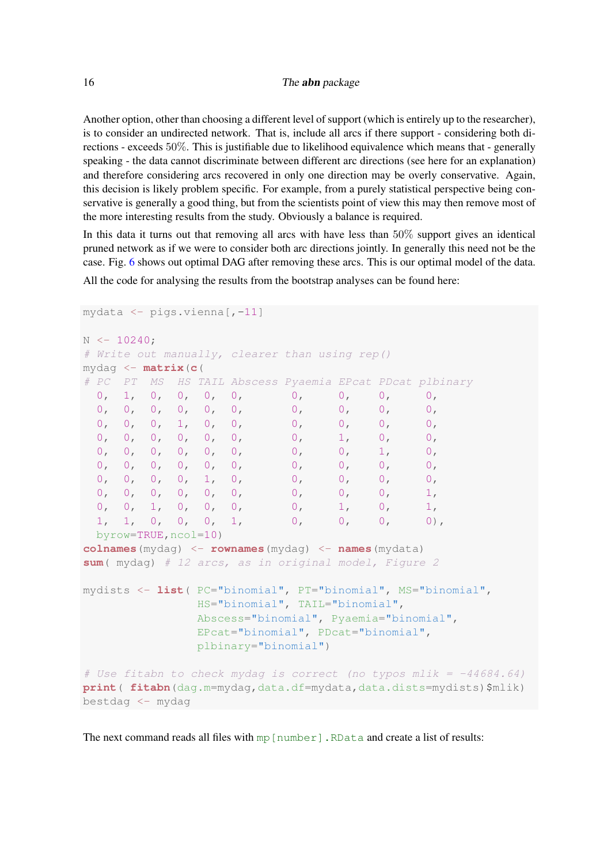Another option, other than choosing a different level of support (which is entirely up to the researcher), is to consider an undirected network. That is, include all arcs if there support - considering both directions - exceeds 50%. This is justifiable due to likelihood equivalence which means that - generally speaking - the data cannot discriminate between different arc directions (see here for an explanation) and therefore considering arcs recovered in only one direction may be overly conservative. Again, this decision is likely problem specific. For example, from a purely statistical perspective being conservative is generally a good thing, but from the scientists point of view this may then remove most of the more interesting results from the study. Obviously a balance is required.

In this data it turns out that removing all arcs with have less than 50% support gives an identical pruned network as if we were to consider both arc directions jointly. In generally this need not be the case. Fig. [6](#page-16-0) shows out optimal DAG after removing these arcs. This is our optimal model of the data. All the code for analysing the results from the bootstrap analyses can be found here:

```
mydata <- pigs.vienna[,-11]
N < -10240;
# Write out manually, clearer than using rep()
mydag <- matrix(c(
# PC PT MS HS TAIL Abscess Pyaemia EPcat PDcat plbinary
 0, 1, 0, 0, 0, 0, 0, 0, 0, 0,
 0, 0, 0, 0, 0, 0, 0, 0, 0, 0,
 0, 0, 0, 1, 0, 0, 0, 0, 0, 0, 0,
 0, 0, 0, 0, 0, 0, 0, 0, 0, 0, 0,
 0, 0, 0, 0, 0, 0, 0, 0, 1, 0,
 0, 0, 0, 0, 0, 0, 0, 0, 0, 0, 0,
 0, 0, 0, 1, 0, 0, 0, 0, 0, 0,
 0, 0, 0, 0, 0, 0, 0, 0, 0, 1,
 0, 0, 1, 0, 0, 0, 0, 1, 0, 1,
 1, 1, 0, 0, 0, 1, 0, 0, 0, 0),
 byrow=TRUE,ncol=10)
colnames(mydag) <- rownames(mydag) <- names(mydata)
sum( mydag) # 12 arcs, as in original model, Figure 2
mydists <- list( PC="binomial", PT="binomial", MS="binomial",
              HS="binomial", TAIL="binomial",
              Abscess="binomial", Pyaemia="binomial",
              EPcat="binomial", PDcat="binomial",
              plbinary="binomial")
# Use fitabn to check mydaq is correct (no typos mlik = -44684.64)
print( fitabn(dag.m=mydag,data.df=mydata,data.dists=mydists)$mlik)
bestdag <- mydag
```
The next command reads all files with  $mp[number]$ . RData and create a list of results: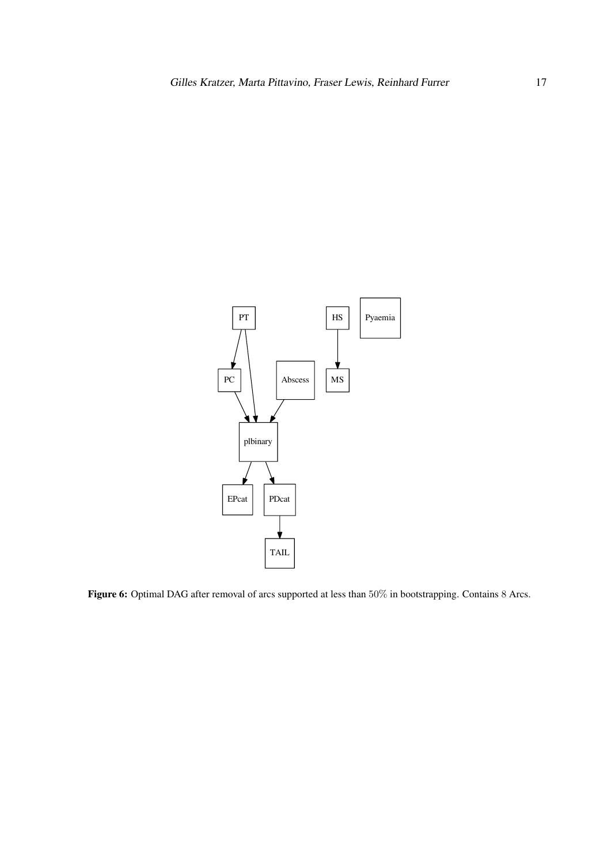<span id="page-16-0"></span>

Figure 6: Optimal DAG after removal of arcs supported at less than 50% in bootstrapping. Contains 8 Arcs.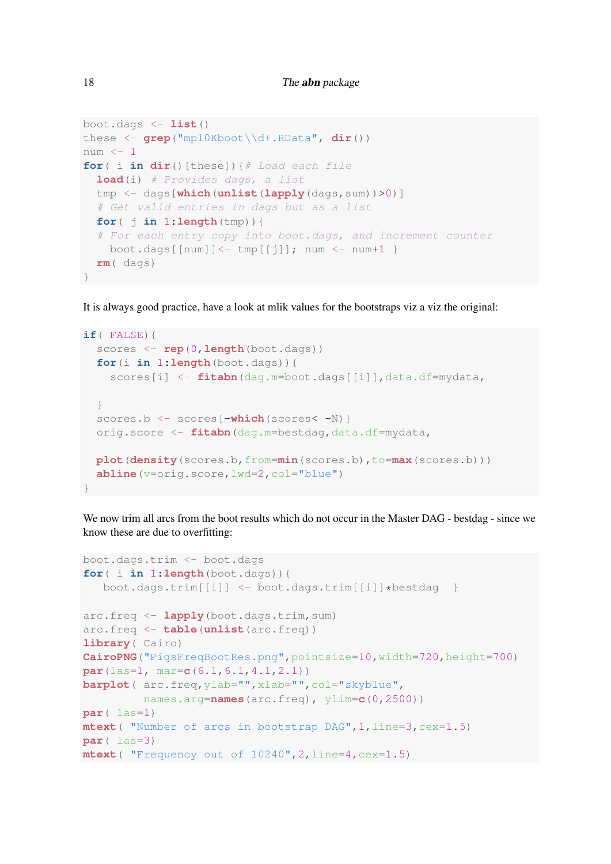```
boot.dags <- list()
these <- grep("mp10Kboot\\d+.RData", dir())
num <- 1
for( i in dir()[these]){# Load each file
  load(i) # Provides dags, a list
 tmp <- dags[which(unlist(lapply(dags,sum))>0)]
  # Get valid entries in dags but as a list
  for ( \uparrow in 1: length(tmp)) {
  # For each entry copy into boot.dags, and increment counter
   boot.dags[[num]] <- tmp[[j]]; num <- num+1 }
  rm( dags)
}
```
It is always good practice, have a look at mlik values for the bootstraps viz a viz the original:

```
if( FALSE){
 scores <- rep(0,length(boot.dags))
 for(i in 1:length(boot.dags)){
    scores[i] <- fitabn(dag.m=boot.dags[[i]],data.df=mydata,
  }
 scores.b <- scores[-which(scores< -N)]
 orig.score <- fitabn(dag.m=bestdag,data.df=mydata,
 plot(density(scores.b,from=min(scores.b),to=max(scores.b)))
 abline(v=orig.score,lwd=2,col="blue")
}
```
We now trim all arcs from the boot results which do not occur in the Master DAG - bestdag - since we know these are due to overfitting:

```
boot.dags.trim <- boot.dags
for( i in 1:length(boot.dags)){
  boot.dags.trim[[i]] <- boot.dags.trim[[i]]*bestdag }
arc.freq <- lapply(boot.dags.trim,sum)
arc.freq <- table(unlist(arc.freq))
library( Cairo)
CairoPNG("PigsFreqBootRes.png",pointsize=10,width=720,height=700)
par(las=1, mar=c(6.1,6.1,4.1,2.1))
barplot( arc.freq,ylab="",xlab="",col="skyblue",
         names.arg=names(arc.freq), ylim=c(0,2500))
par( las=1)
mtext( "Number of arcs in bootstrap DAG",1,line=3,cex=1.5)
par( las=3)
mtext( "Frequency out of 10240",2,line=4,cex=1.5)
```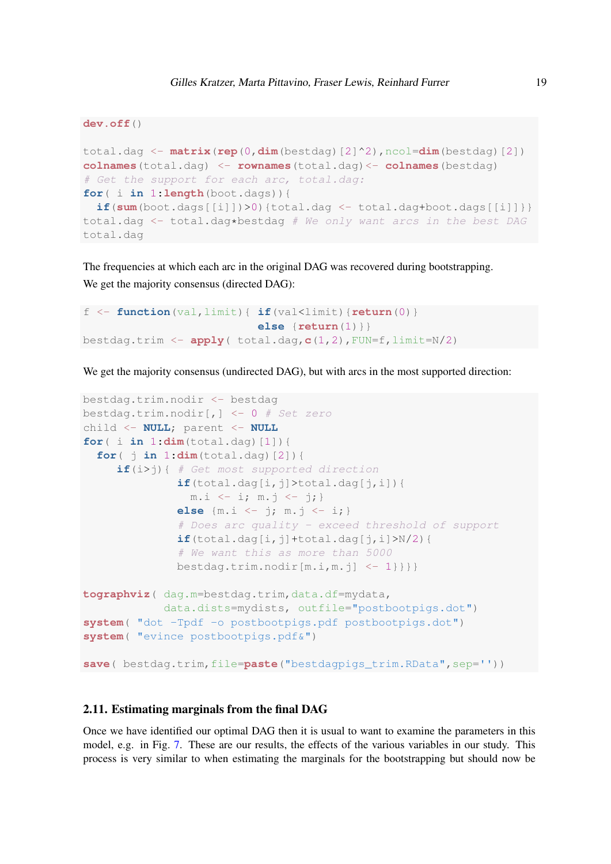```
dev.off()
total.dag <- matrix(rep(0,dim(bestdag)[2]^2),ncol=dim(bestdag)[2])
colnames(total.dag) <- rownames(total.dag)<- colnames(bestdag)
# Get the support for each arc, total.dag:
for( i in 1:length(boot.dags)){
 if(sum(boot.dags[[i]])>0){total.dag <- total.dag+boot.dags[[i]]}}
total.dag <- total.dag*bestdag # We only want arcs in the best DAG
total.dag
```
The frequencies at which each arc in the original DAG was recovered during bootstrapping. We get the majority consensus (directed DAG):

```
f \leftarrow function (val, limit) { if (val < limit) { return(0) }
                              else {return(1)}}
bestdag.trim <- apply( total.dag,c(1,2),FUN=f,limit=N/2)
```
We get the majority consensus (undirected DAG), but with arcs in the most supported direction:

```
bestdag.trim.nodir <- bestdag
bestdag.trim.nodir[,] \leftarrow 0 # Set zero
child <- NULL; parent <- NULL
for( i in 1:dim(total.dag)[1]){
  for( j in 1:dim(total.daq) [2]) {
     if(i>j){ # Get most supported direction
              \textbf{if}(\text{total}.dag[i, j]>total.dag[j, i]){
                m.i \le -i; m.j \le -j;else {m.i <- j; m.j <- i;}
               # Does arc quality - exceed threshold of support
              if(total.dag[i,j]+total.dag[j,i]>N/2){
               # We want this as more than 5000
              bestdag.time.nodir[m.i,m.j] < -1}}}}}
tographviz( dag.m=bestdag.trim,data.df=mydata,
            data.dists=mydists, outfile="postbootpigs.dot")
system( "dot -Tpdf -o postbootpigs.pdf postbootpigs.dot")
system( "evince postbootpigs.pdf&")
save( bestdag.trim,file=paste("bestdagpigs trim.RData",sep=''))
```
### 2.11. Estimating marginals from the final DAG

Once we have identified our optimal DAG then it is usual to want to examine the parameters in this model, e.g. in Fig. [7.](#page-19-0) These are our results, the effects of the various variables in our study. This process is very similar to when estimating the marginals for the bootstrapping but should now be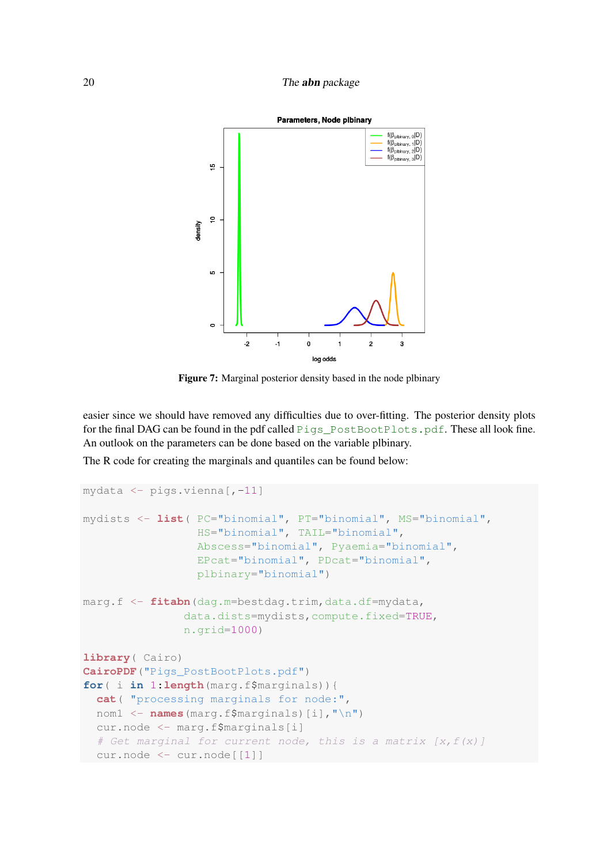### <span id="page-19-0"></span>20 The **abn** package



Figure 7: Marginal posterior density based in the node plbinary

easier since we should have removed any difficulties due to over-fitting. The posterior density plots for the final DAG can be found in the pdf called Pigs\_PostBootPlots.pdf. These all look fine. An outlook on the parameters can be done based on the variable plbinary.

The R code for creating the marginals and quantiles can be found below:

```
mydata <- pigs.vienna[,-11]
mydists <- list( PC="binomial", PT="binomial", MS="binomial",
                 HS="binomial", TAIL="binomial",
                 Abscess="binomial", Pyaemia="binomial",
                 EPcat="binomial", PDcat="binomial",
                 plbinary="binomial")
marg.f <- fitabn(dag.m=bestdag.trim,data.df=mydata,
               data.dists=mydists,compute.fixed=TRUE,
               n.grid=1000)
library( Cairo)
CairoPDF("Pigs_PostBootPlots.pdf")
for( i in 1:length(marg.f$marginals)){
  cat( "processing marginals for node:",
  nom1 <- names(marg.f$marginals)[i],"\n")
  cur.node <- marg.f$marginals[i]
  # Get marginal for current node, this is a matrix [x, f(x)]cur.node <- cur.node[[1]]
```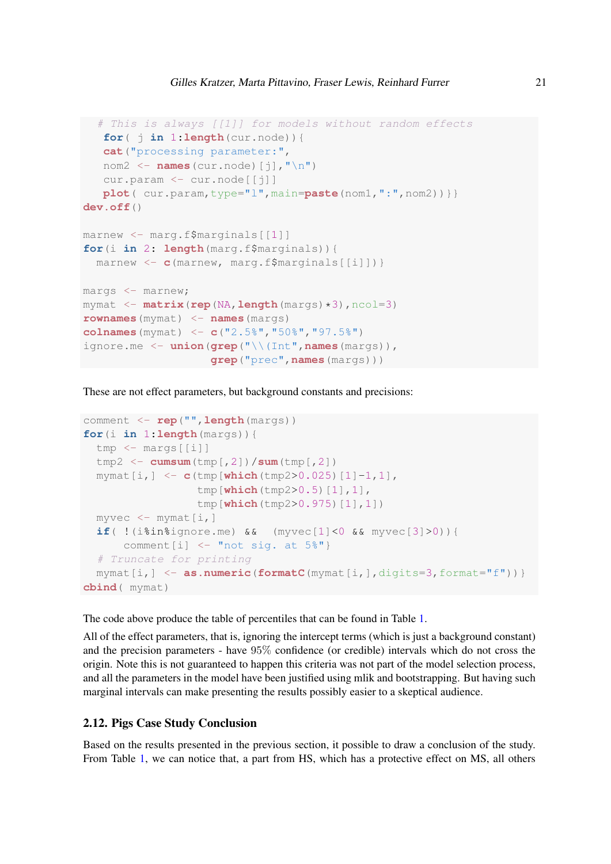```
# This is always [[1]] for models without random effects
   for( j in 1:length(cur.node)){
   cat("processing parameter:",
   nom2 \leftarrow names (cur.node) [j], "\n")
   cur.param <- cur.node[[j]]
   plot( cur.param,type="l",main=paste(nom1,":",nom2))}}
dev.off()
marnew <- marg.f$marginals[[1]]
for(i in 2: length(marg.f$marginals)){
  marnew <- c(marnew, marg.f$marginals[[i]])}
margs <- marnew;
mymat <- matrix(rep(NA,length(margs)*3),ncol=3)
rownames(mymat) <- names(margs)
colnames(mymat) <- c("2.5%","50%","97.5%")
ignore.me <- union(grep("\\(Int",names(margs)),
                   grep("prec",names(margs)))
```
These are not effect parameters, but background constants and precisions:

```
comment <- rep("",length(margs))
for(i in 1:length(margs)){
 tmp <- margs[[i]]
 tmp2 <- cumsum(tmp[,2])/sum(tmp[,2])
 mymat[i,] <- c(tmp[which(tmp2>0.025)[1]-1,1],
                 tmp[which(tmp2>0.5)[1],1],
                 tmp[which(tmp2>0.975)[1],1])
 myvec \leftarrow mymat[i, ]if( !(i%in%ignore.me) && (myvec[1]<0 && myvec[3]>0)){
      comment [i] \leq "not sig. at 5\"}
  # Truncate for printing
 mymat[i,] <- as.numeric(formatC(mymat[i,],digits=3,format="f"))}
cbind( mymat)
```
The code above produce the table of percentiles that can be found in Table [1.](#page-21-0)

All of the effect parameters, that is, ignoring the intercept terms (which is just a background constant) and the precision parameters - have 95% confidence (or credible) intervals which do not cross the origin. Note this is not guaranteed to happen this criteria was not part of the model selection process, and all the parameters in the model have been justified using mlik and bootstrapping. But having such marginal intervals can make presenting the results possibly easier to a skeptical audience.

### 2.12. Pigs Case Study Conclusion

Based on the results presented in the previous section, it possible to draw a conclusion of the study. From Table [1,](#page-21-0) we can notice that, a part from HS, which has a protective effect on MS, all others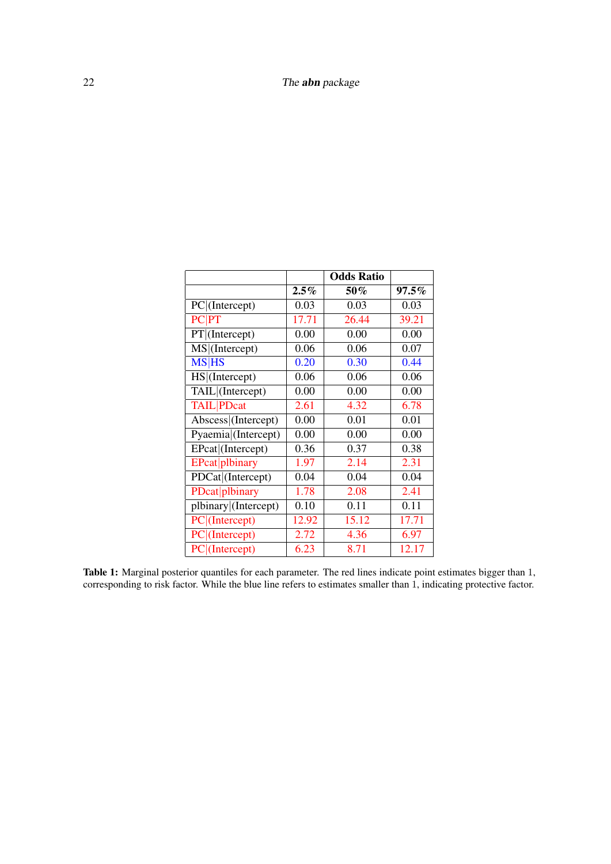<span id="page-21-0"></span>

|                              |         | <b>Odds Ratio</b> |          |
|------------------------------|---------|-------------------|----------|
|                              | $2.5\%$ | 50%               | $97.5\%$ |
| PC (Intercept)               | 0.03    | 0.03              | 0.03     |
| <b>PC</b>  PT                | 17.71   | 26.44             | 39.21    |
| $\overline{PT}$  (Intercept) | 0.00    | 0.00              | 0.00     |
| MS (Intercept)               | 0.06    | 0.06              | 0.07     |
| <b>MS HS</b>                 | 0.20    | 0.30              | 0.44     |
| HS (Intercept)               | 0.06    | 0.06              | 0.06     |
| TAIL (Intercept)             | 0.00    | 0.00              | 0.00     |
| <b>TAIL</b> PDcat            | 2.61    | 4.32              | 6.78     |
| Abscess (Intercept)          | 0.00    | 0.01              | 0.01     |
| Pyaemia (Intercept)          | 0.00    | 0.00              | 0.00     |
| EPcat (Intercept)            | 0.36    | 0.37              | 0.38     |
| EPcat plbinary               | 1.97    | 2.14              | 2.31     |
| PDCat (Intercept)            | 0.04    | 0.04              | 0.04     |
| PDcat plbinary               | 1.78    | 2.08              | 2.41     |
| plbinary (Intercept)         | 0.10    | 0.11              | 0.11     |
| $\overline{PC}$ (Intercept)  | 12.92   | 15.12             | 17.71    |
| PC (Intercept)               | 2.72    | 4.36              | 6.97     |
| $PC$ (Intercept)             | 6.23    | 8.71              | 12.17    |

Table 1: Marginal posterior quantiles for each parameter. The red lines indicate point estimates bigger than 1, corresponding to risk factor. While the blue line refers to estimates smaller than 1, indicating protective factor.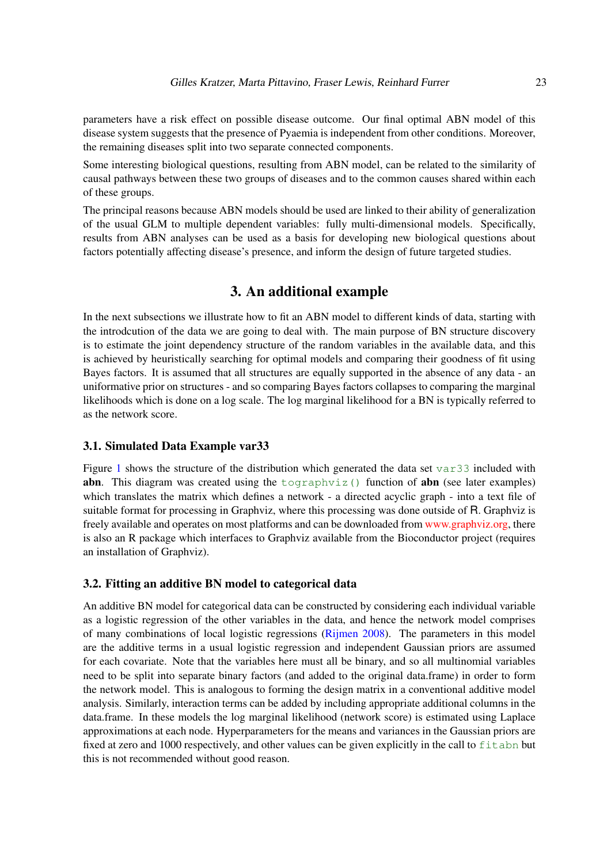parameters have a risk effect on possible disease outcome. Our final optimal ABN model of this disease system suggests that the presence of Pyaemia is independent from other conditions. Moreover, the remaining diseases split into two separate connected components.

Some interesting biological questions, resulting from ABN model, can be related to the similarity of causal pathways between these two groups of diseases and to the common causes shared within each of these groups.

The principal reasons because ABN models should be used are linked to their ability of generalization of the usual GLM to multiple dependent variables: fully multi-dimensional models. Specifically, results from ABN analyses can be used as a basis for developing new biological questions about factors potentially affecting disease's presence, and inform the design of future targeted studies.

# 3. An additional example

In the next subsections we illustrate how to fit an ABN model to different kinds of data, starting with the introdcution of the data we are going to deal with. The main purpose of BN structure discovery is to estimate the joint dependency structure of the random variables in the available data, and this is achieved by heuristically searching for optimal models and comparing their goodness of fit using Bayes factors. It is assumed that all structures are equally supported in the absence of any data - an uniformative prior on structures - and so comparing Bayes factors collapses to comparing the marginal likelihoods which is done on a log scale. The log marginal likelihood for a BN is typically referred to as the network score.

### 3.1. Simulated Data Example var33

Figure [1](#page-6-0) shows the structure of the distribution which generated the data set var33 included with **abn.** This diagram was created using the  $\text{toqraphviz}$  () function of **abn** (see later examples) which translates the matrix which defines a network - a directed acyclic graph - into a text file of suitable format for processing in Graphviz, where this processing was done outside of R. Graphviz is freely available and operates on most platforms and can be downloaded from [www.graphviz.org,](http://www.graphviz.org) there is also an R package which interfaces to Graphviz available from the Bioconductor project (requires an installation of Graphviz).

### <span id="page-22-0"></span>3.2. Fitting an additive BN model to categorical data

An additive BN model for categorical data can be constructed by considering each individual variable as a logistic regression of the other variables in the data, and hence the network model comprises of many combinations of local logistic regressions [\(Rijmen](#page-37-15) [2008\)](#page-37-15). The parameters in this model are the additive terms in a usual logistic regression and independent Gaussian priors are assumed for each covariate. Note that the variables here must all be binary, and so all multinomial variables need to be split into separate binary factors (and added to the original data.frame) in order to form the network model. This is analogous to forming the design matrix in a conventional additive model analysis. Similarly, interaction terms can be added by including appropriate additional columns in the data.frame. In these models the log marginal likelihood (network score) is estimated using Laplace approximations at each node. Hyperparameters for the means and variances in the Gaussian priors are fixed at zero and 1000 respectively, and other values can be given explicitly in the call to fit abn but this is not recommended without good reason.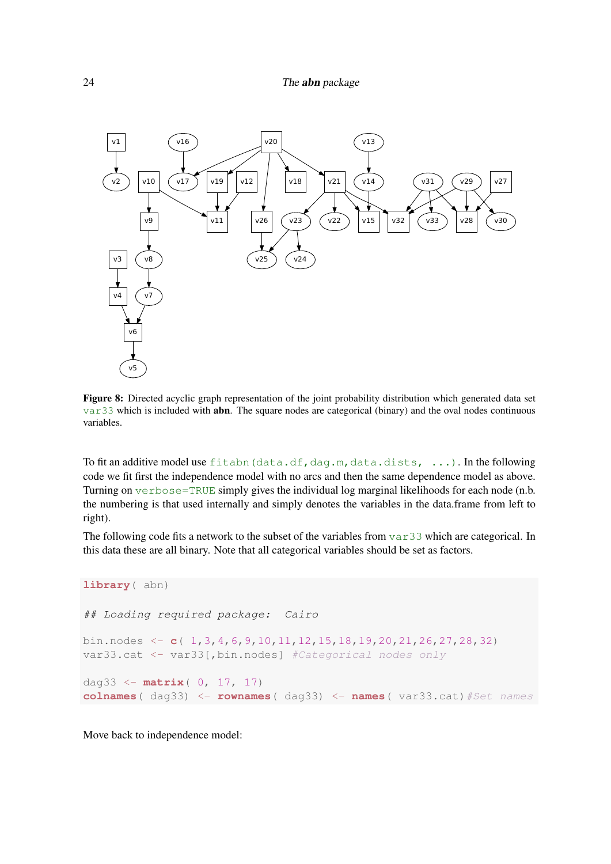

Figure 8: Directed acyclic graph representation of the joint probability distribution which generated data set var33 which is included with abn. The square nodes are categorical (binary) and the oval nodes continuous variables.

To fit an additive model use fitabn (data.df,dag.m,data.dists,  $\ldots$ ). In the following code we fit first the independence model with no arcs and then the same dependence model as above. Turning on verbose=TRUE simply gives the individual log marginal likelihoods for each node (n.b. the numbering is that used internally and simply denotes the variables in the data.frame from left to right).

The following code fits a network to the subset of the variables from var33 which are categorical. In this data these are all binary. Note that all categorical variables should be set as factors.

```
library( abn)
## Loading required package: Cairo
bin.nodes <- c( 1,3,4,6,9,10,11,12,15,18,19,20,21,26,27,28,32)
var33.cat <- var33[,bin.nodes] #Categorical nodes only
dag33 <- matrix( 0, 17, 17)
colnames( dag33) <- rownames( dag33) <- names( var33.cat)#Set names
```
Move back to independence model: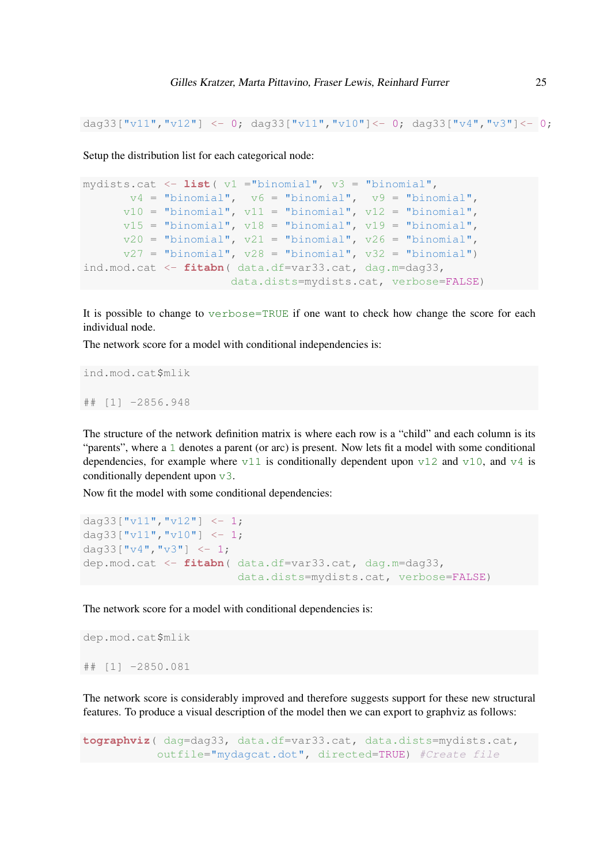```
dag33["v11","v12"] <- 0; dag33["v11","v10"]<- 0; dag33["v4","v3"]<- 0;
```
Setup the distribution list for each categorical node:

```
mydists.cat <- list( v1 ="binomial", v3 = "binomial",
      v4 = "binomial", v6 = "binomial", v9 = "binomial",
      v10 = "binomial", v11 = "binomial", v12 = "binomial",
      v15 = "binomial", v18 = "binomial", v19 = "binomial",
      v20 = "binomial", v21 = "binomial", v26 = "binomial",
      v27 = "binomial", v28 = "binomial", v32 = "binomial")
ind.mod.cat <- fitabn( data.df=var33.cat, dag.m=dag33,
                      data.dists=mydists.cat, verbose=FALSE)
```
It is possible to change to verbose=TRUE if one want to check how change the score for each individual node.

The network score for a model with conditional independencies is:

ind.mod.cat\$mlik ## [1] -2856.948

The structure of the network definition matrix is where each row is a "child" and each column is its "parents", where a 1 denotes a parent (or arc) is present. Now lets fit a model with some conditional dependencies, for example where  $\sqrt{11}$  is conditionally dependent upon  $\sqrt{12}$  and  $\sqrt{10}$ , and  $\sqrt{4}$  is conditionally dependent upon v3.

Now fit the model with some conditional dependencies:

```
dag33["v11","v12"] \leftarrow 1;
dag33["v11","v10"] \leftarrow 1;
dag33["v4","v3"] <- 1;
dep.mod.cat <- fitabn( data.df=var33.cat, dag.m=dag33,
                         data.dists=mydists.cat, verbose=FALSE)
```
The network score for a model with conditional dependencies is:

```
dep.mod.cat$mlik
## [1] -2850.081
```
The network score is considerably improved and therefore suggests support for these new structural features. To produce a visual description of the model then we can export to graphviz as follows:

```
tographviz( dag=dag33, data.df=var33.cat, data.dists=mydists.cat,
          outfile="mydagcat.dot", directed=TRUE) #Create file
```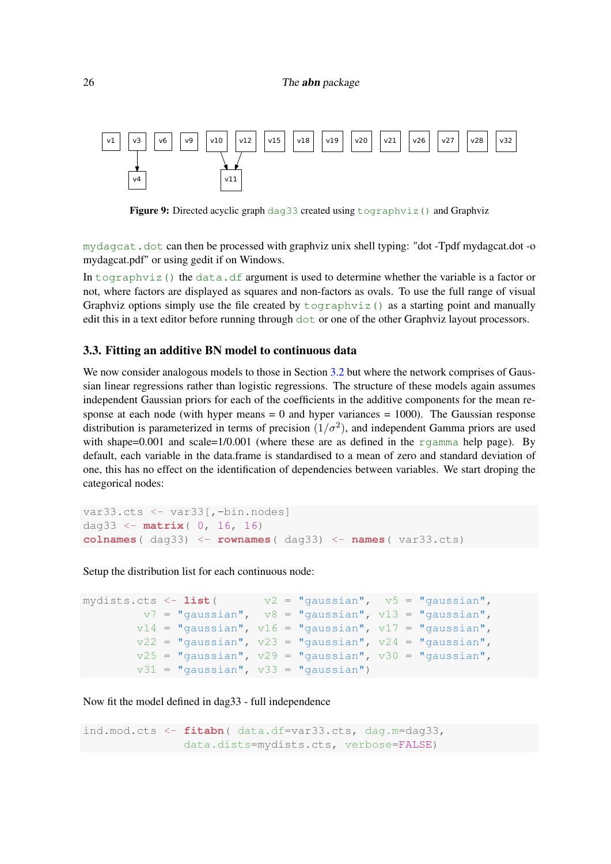#### 26 The **abn** package



Figure 9: Directed acyclic graph dag33 created using tographviz() and Graphviz

mydagcat.dot can then be processed with graphviz unix shell typing: "dot -Tpdf mydagcat.dot -o mydagcat.pdf" or using gedit if on Windows.

In tography iz() the data.df argument is used to determine whether the variable is a factor or not, where factors are displayed as squares and non-factors as ovals. To use the full range of visual Graphviz options simply use the file created by  $\text{tographviz}$  () as a starting point and manually edit this in a text editor before running through dot or one of the other Graphviz layout processors.

### 3.3. Fitting an additive BN model to continuous data

We now consider analogous models to those in Section [3.2](#page-22-0) but where the network comprises of Gaussian linear regressions rather than logistic regressions. The structure of these models again assumes independent Gaussian priors for each of the coefficients in the additive components for the mean response at each node (with hyper means  $= 0$  and hyper variances  $= 1000$ ). The Gaussian response distribution is parameterized in terms of precision  $(1/\sigma^2)$ , and independent Gamma priors are used with shape=0.001 and scale= $1/0.001$  (where these are as defined in the rgamma help page). By default, each variable in the data.frame is standardised to a mean of zero and standard deviation of one, this has no effect on the identification of dependencies between variables. We start droping the categorical nodes:

```
var33.cts <- var33[,-bin.nodes]
dag33 <- matrix( 0, 16, 16)
colnames( dag33) <- rownames( dag33) <- names( var33.cts)
```
Setup the distribution list for each continuous node:

```
mydists.cts <- list( v2 = "gaussian", v5 = "gaussian",
        v7 = "gaussian", \quad v8 = "gaussian", \quad v13 = "gaussian",v14 = "gaussian", v16 = "gaussian", v17 = "gaussian",v22 = "gaussian", v23 = "gaussian", v24 = "gaussian",v25 = "gaussian", v29 = "gaussian", v30 = "gaussian",v31 = "gaussian", v33 = "gaussian")
```
Now fit the model defined in dag33 - full independence

```
ind.mod.cts <- fitabn( data.df=var33.cts, dag.m=dag33,
              data.dists=mydists.cts, verbose=FALSE)
```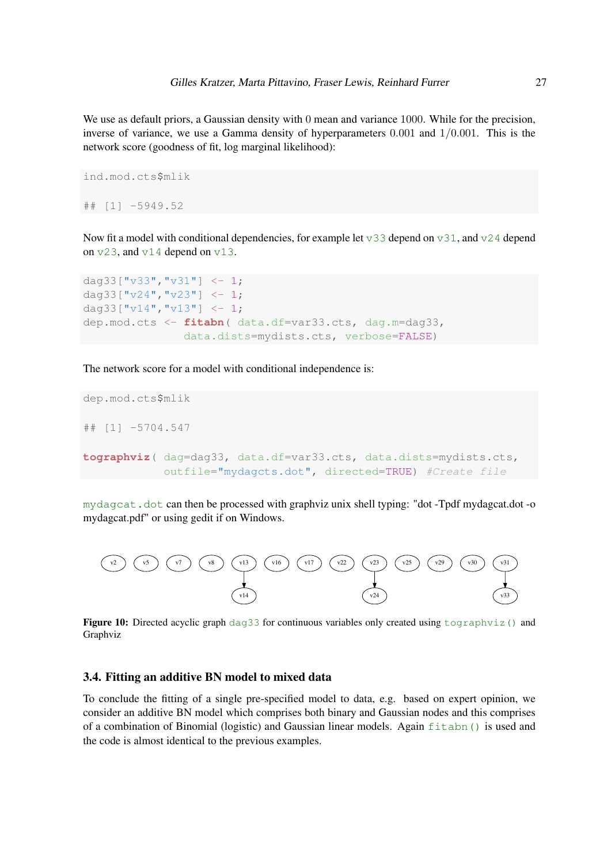We use as default priors, a Gaussian density with 0 mean and variance 1000. While for the precision, inverse of variance, we use a Gamma density of hyperparameters  $0.001$  and  $1/0.001$ . This is the network score (goodness of fit, log marginal likelihood):

```
ind.mod.cts$mlik
## [1] -5949.52
```
Now fit a model with conditional dependencies, for example let  $\sqrt{33}$  depend on  $\sqrt{31}$ , and  $\sqrt{24}$  depend on v23, and v14 depend on v13.

```
dag33["v33","v31"] \leq -1;
dag33["v24","v23"] <- 1;
dag33["v14", "v13"] \leftarrow 1;
dep.mod.cts <- fitabn( data.df=var33.cts, dag.m=dag33,
                data.dists=mydists.cts, verbose=FALSE)
```
The network score for a model with conditional independence is:

```
dep.mod.cts$mlik
## [1] -5704.547
tographviz( dag=dag33, data.df=var33.cts, data.dists=mydists.cts,
            outfile="mydagcts.dot", directed=TRUE) #Create file
```
mydagcat.dot can then be processed with graphviz unix shell typing: "dot -Tpdf mydagcat.dot -o mydagcat.pdf" or using gedit if on Windows.



Figure 10: Directed acyclic graph dag33 for continuous variables only created using tographviz() and Graphviz

### 3.4. Fitting an additive BN model to mixed data

To conclude the fitting of a single pre-specified model to data, e.g. based on expert opinion, we consider an additive BN model which comprises both binary and Gaussian nodes and this comprises of a combination of Binomial (logistic) and Gaussian linear models. Again fitabn() is used and the code is almost identical to the previous examples.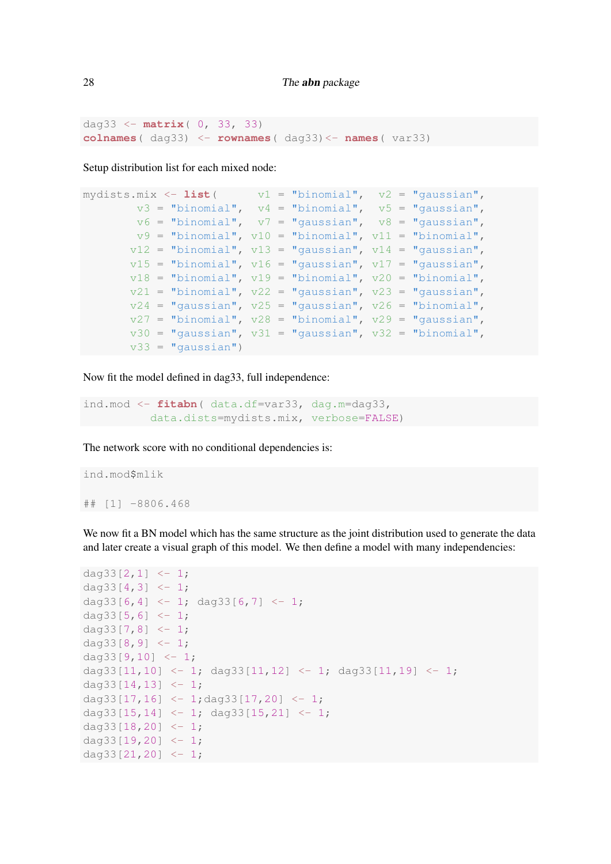dag33 <- **matrix**( 0, 33, 33) **colnames**( dag33) <- **rownames**( dag33)<- **names**( var33)

Setup distribution list for each mixed node:

```
mydists.mix \leftarrow list ( v1 = "binomial", v2 = "gaussian",
        v3 = "binomial", v4 = "binomial", v5 = "gaussian",
       v6 = "binomial", v7 = "gaussian", v8 = "gaussian",
       v9 = "binomial", v10 = "binomial", v11 = "binomial",
       v12 = "binomial", v13 = "gaussian", v14 = "gaussian",
       v15 = "binomial", v16 = "gaussian", v17 = "gaussian",
       v18 = "binomial", v19 = "binomial", v20 = "binomial",
       v21 = "binomial", v22 = "gaussian", v23 = "gaussian",
       v24 = "gaussian", v25 = "gaussian", v26 = "binomial",v27 = "binomial", v28 = "binomial", v29 = "gaussian",
       v30 = "gaussian", v31 = "gaussian", v32 = "binomial",v33 = "gaussian")
```
Now fit the model defined in dag33, full independence:

```
ind.mod <- fitabn( data.df=var33, dag.m=dag33,
          data.dists=mydists.mix, verbose=FALSE)
```
The network score with no conditional dependencies is:

```
ind.mod$mlik
## [1] -8806.468
```
We now fit a BN model which has the same structure as the joint distribution used to generate the data and later create a visual graph of this model. We then define a model with many independencies:

```
dag33[2, 1] <- 1;
dag33[4,3] < -1;dag33[6,4] <- 1; dag33[6,7] <- 1;
dag33[5,6] <-1;dag33[7,8] < -1;dag33[8,9] <-1;dag33[9,10] <-1;
dag33[11,10] \leftarrow 1; dag33[11,12] \leftarrow 1; dag33[11,19] \leftarrow 1;
dag33[14, 13] <- 1;
dag33[17,16] \leftarrow 1; dag33[17,20] \leftarrow 1;
dag33[15,14] \leftarrow 1; dag33[15,21] \leftarrow 1;
dag33[18, 20] <- 1;
dag33[19, 20] <- 1;
dag33[21, 20] <- 1;
```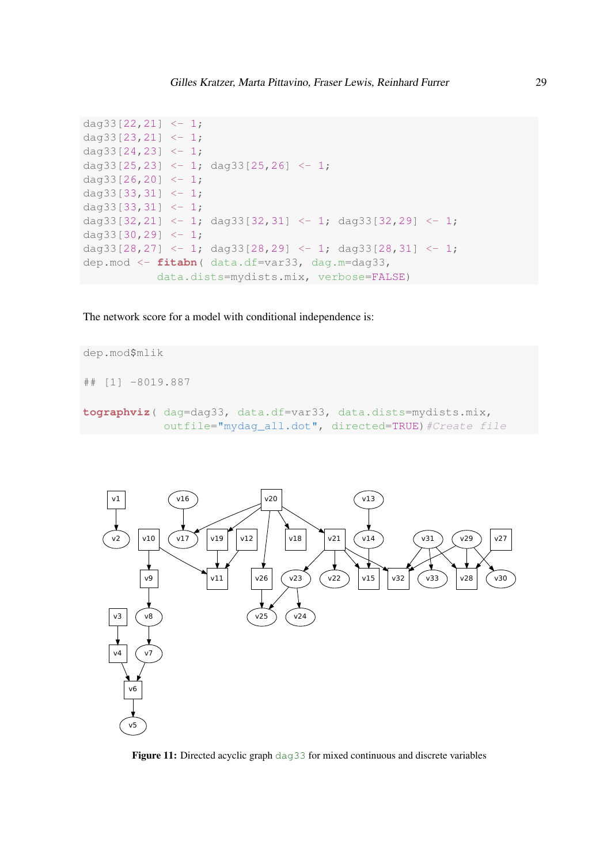```
dag33[22, 21] <- 1;
dag33[23,21] \leftarrow 1;
dag33[24, 23] <- 1;
dag33[25,23] \leftarrow 1; dag33[25,26] \leftarrow 1;
dag33[26, 20] <- 1;
dag33[33,31] <- 1;
dag33[33,31] <- 1;
dag33[32,21] \leftarrow 1; dag33[32,31] \leftarrow 1; dag33[32,29] \leftarrow 1;
dag33[30,29] <- 1;
dag33[28,27] \leftarrow 1; dag33[28,29] \leftarrow 1; dag33[28,31] \leftarrow 1;
dep.mod <- fitabn( data.df=var33, dag.m=dag33,
             data.dists=mydists.mix, verbose=FALSE)
```
The network score for a model with conditional independence is:

```
dep.mod$mlik
## [1] -8019.887
tographviz( dag=dag33, data.df=var33, data.dists=mydists.mix,
            outfile="mydaq_all.dot", directed=TRUE) #Create file
```


Figure 11: Directed acyclic graph dag33 for mixed continuous and discrete variables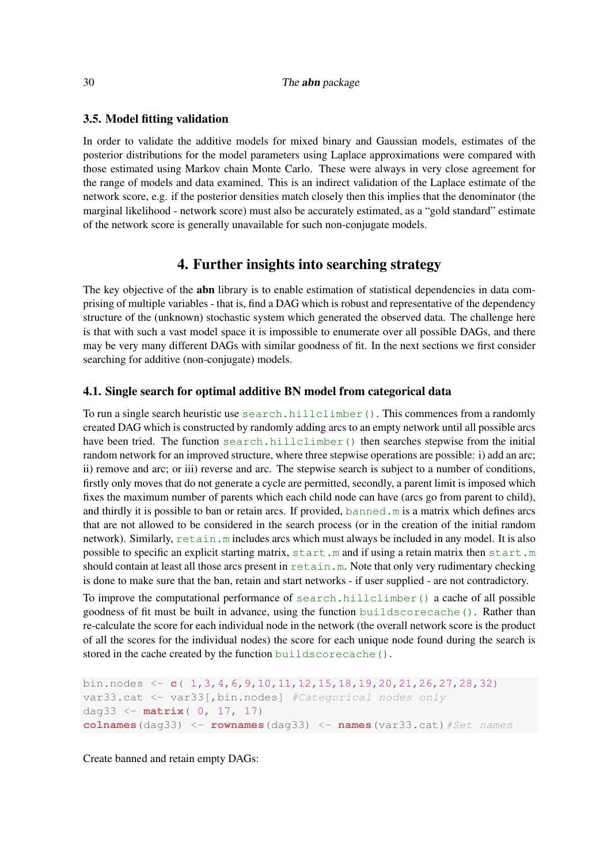#### 30 The **abn** package

### 3.5. Model fitting validation

In order to validate the additive models for mixed binary and Gaussian models, estimates of the posterior distributions for the model parameters using Laplace approximations were compared with those estimated using Markov chain Monte Carlo. These were always in very close agreement for the range of models and data examined. This is an indirect validation of the Laplace estimate of the network score, e.g. if the posterior densities match closely then this implies that the denominator (the marginal likelihood - network score) must also be accurately estimated, as a "gold standard" estimate of the network score is generally unavailable for such non-conjugate models.

# 4. Further insights into searching strategy

The key objective of the **abn** library is to enable estimation of statistical dependencies in data comprising of multiple variables - that is, find a DAG which is robust and representative of the dependency structure of the (unknown) stochastic system which generated the observed data. The challenge here is that with such a vast model space it is impossible to enumerate over all possible DAGs, and there may be very many different DAGs with similar goodness of fit. In the next sections we first consider searching for additive (non-conjugate) models.

### 4.1. Single search for optimal additive BN model from categorical data

To run a single search heuristic use search.hillclimber(). This commences from a randomly created DAG which is constructed by randomly adding arcs to an empty network until all possible arcs have been tried. The function search.hillclimber() then searches stepwise from the initial random network for an improved structure, where three stepwise operations are possible: i) add an arc; ii) remove and arc; or iii) reverse and arc. The stepwise search is subject to a number of conditions, firstly only moves that do not generate a cycle are permitted, secondly, a parent limit is imposed which fixes the maximum number of parents which each child node can have (arcs go from parent to child), and thirdly it is possible to ban or retain arcs. If provided, banned. m is a matrix which defines arcs that are not allowed to be considered in the search process (or in the creation of the initial random network). Similarly, retain.m includes arcs which must always be included in any model. It is also possible to specific an explicit starting matrix, start.m and if using a retain matrix then start.m should contain at least all those arcs present in retain.m. Note that only very rudimentary checking is done to make sure that the ban, retain and start networks - if user supplied - are not contradictory.

To improve the computational performance of search.hillclimber() a cache of all possible goodness of fit must be built in advance, using the function buildscorecache(). Rather than re-calculate the score for each individual node in the network (the overall network score is the product of all the scores for the individual nodes) the score for each unique node found during the search is stored in the cache created by the function buildscorecache().

```
bin.nodes <- c( 1,3,4,6,9,10,11,12,15,18,19,20,21,26,27,28,32)
var33.cat <- var33[,bin.nodes] #Categorical nodes only
dag33 <- matrix( 0, 17, 17)
colnames(dag33) <- rownames(dag33) <- names(var33.cat)#Set names
```
Create banned and retain empty DAGs: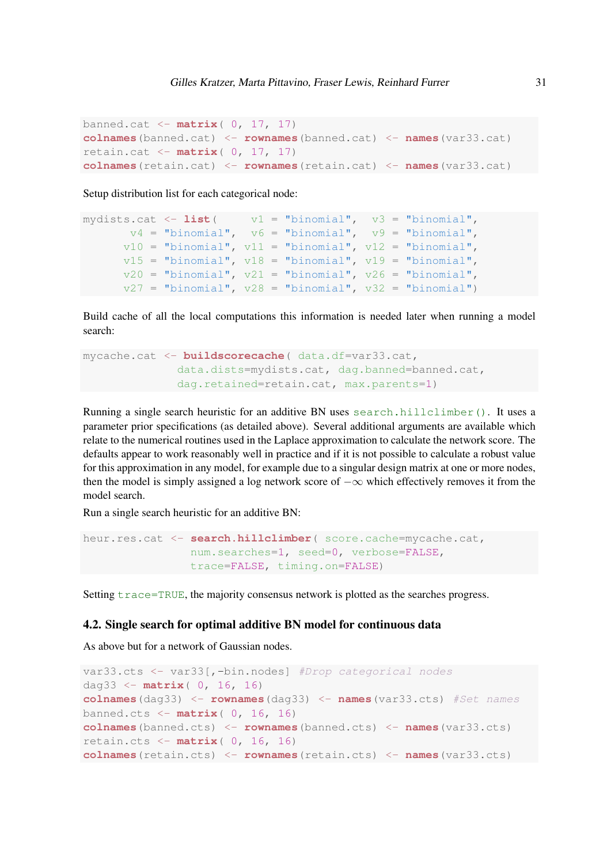```
banned.cat <- matrix( 0, 17, 17)
colnames(banned.cat) <- rownames(banned.cat) <- names(var33.cat)
retain.cat <- matrix( 0, 17, 17)
colnames(retain.cat) <- rownames(retain.cat) <- names(var33.cat)
```
Setup distribution list for each categorical node:

```
mydists.cat \leq - list ( v1 = "binomial", v3 = "binomial",
      v4 = "binomial", v6 = "binomial", v9 = "binomial",
      v10 = "binomial", v11 = "binomial", v12 = "binomial",
      v15 = "binomial", v18 = "binomial", v19 = "binomial",
      v20 = "binomial", v21 = "binomial", v26 = "binomial",
      v27 = "binomial", v28 = "binomial", v32 = "binomial")
```
Build cache of all the local computations this information is needed later when running a model search:

```
mycache.cat <- buildscorecache( data.df=var33.cat,
              data.dists=mydists.cat, dag.banned=banned.cat,
              dag.retained=retain.cat, max.parents=1)
```
Running a single search heuristic for an additive BN uses search.hillclimber(). It uses a parameter prior specifications (as detailed above). Several additional arguments are available which relate to the numerical routines used in the Laplace approximation to calculate the network score. The defaults appear to work reasonably well in practice and if it is not possible to calculate a robust value for this approximation in any model, for example due to a singular design matrix at one or more nodes, then the model is simply assigned a log network score of  $-\infty$  which effectively removes it from the model search.

Run a single search heuristic for an additive BN:

```
heur.res.cat <- search.hillclimber( score.cache=mycache.cat,
                num.searches=1, seed=0, verbose=FALSE,
                trace=FALSE, timing.on=FALSE)
```
Setting  $trace=TRUE$ , the majority consensus network is plotted as the searches progress.

### 4.2. Single search for optimal additive BN model for continuous data

As above but for a network of Gaussian nodes.

```
var33.cts <- var33[,-bin.nodes] #Drop categorical nodes
dag33 <- matrix( 0, 16, 16)
colnames(dag33) <- rownames(dag33) <- names(var33.cts) #Set names
banned.cts <- matrix( 0, 16, 16)
colnames(banned.cts) <- rownames(banned.cts) <- names(var33.cts)
retain.cts <- matrix( 0, 16, 16)
colnames(retain.cts) <- rownames(retain.cts) <- names(var33.cts)
```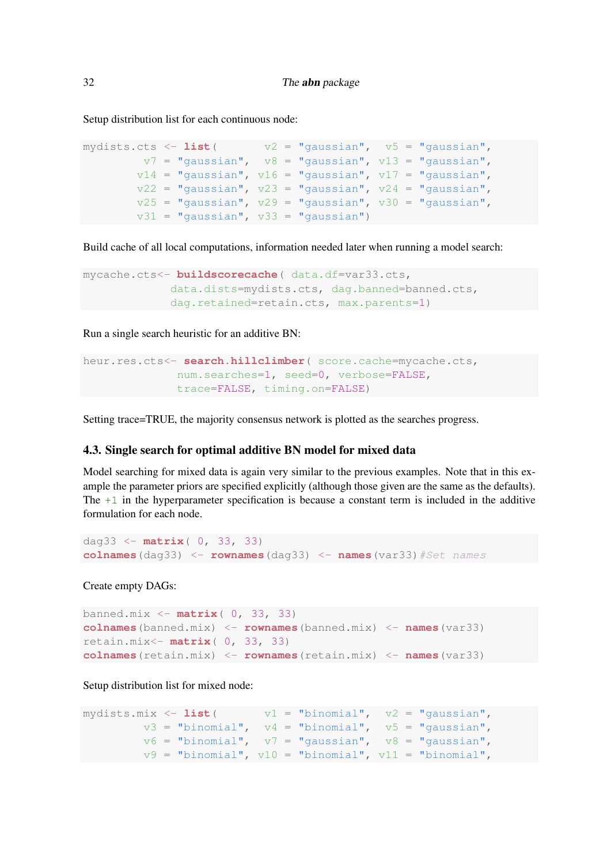Setup distribution list for each continuous node:

```
mydists.cts \langle -\right] list (\forall \lambda = "gaussian", \forall 5 = "gaussian",
         v7 = "gaussian", v8 = "gaussian", v13 = "gaussian",v14 = "gaussian", v16 = "gaussian", v17 = "gaussian",v22 = "gaussian", v23 = "gaussian", v24 = "gaussian",v25 = "gaussian", v29 = "gaussian", v30 = "gaussian",v31 = "gaussian", v33 = "gaussian")
```
Build cache of all local computations, information needed later when running a model search:

```
mycache.cts<- buildscorecache( data.df=var33.cts,
             data.dists=mydists.cts, dag.banned=banned.cts,
             dag.retained=retain.cts, max.parents=1)
```
Run a single search heuristic for an additive BN:

```
heur.res.cts<- search.hillclimber( score.cache=mycache.cts,
              num.searches=1, seed=0, verbose=FALSE,
              trace=FALSE, timing.on=FALSE)
```
Setting trace=TRUE, the majority consensus network is plotted as the searches progress.

### 4.3. Single search for optimal additive BN model for mixed data

Model searching for mixed data is again very similar to the previous examples. Note that in this example the parameter priors are specified explicitly (although those given are the same as the defaults). The  $+1$  in the hyperparameter specification is because a constant term is included in the additive formulation for each node.

```
dag33 <- matrix( 0, 33, 33)
colnames(dag33) <- rownames(dag33) <- names(var33)#Set names
```
Create empty DAGs:

```
banned.mix <- matrix( 0, 33, 33)
colnames(banned.mix) <- rownames(banned.mix) <- names(var33)
retain.mix<- matrix( 0, 33, 33)
colnames(retain.mix) <- rownames(retain.mix) <- names(var33)
```
Setup distribution list for mixed node:

```
mydists.mix \langle -\right] list ( v1 = "binomial", v2 = "gaussian",
         v3 = "binomial", v4 = "binomial", v5 = "gaussian",
         v6 = "binomial", v7 = "gaussian", v8 = "gaussian",
        v9 = "binomial", v10 = "binomial", v11 = "binomial",
```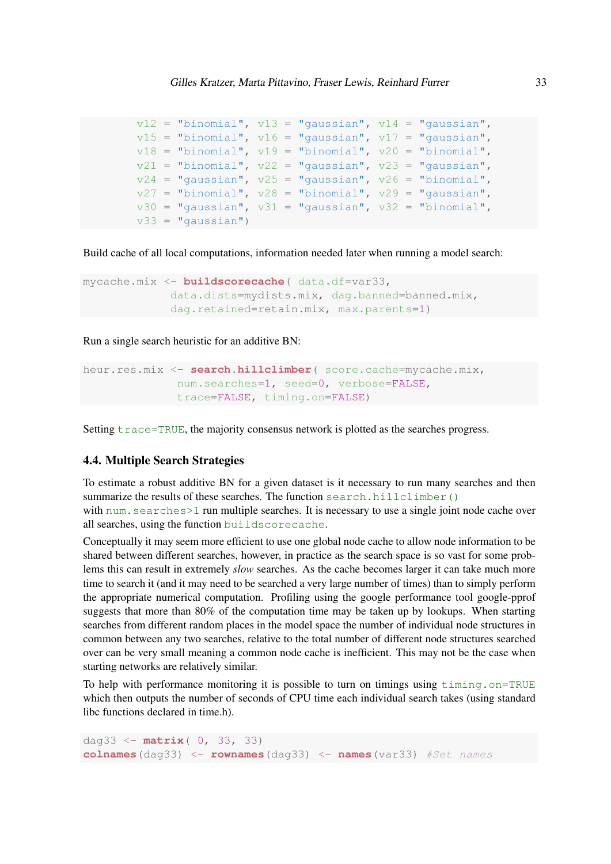```
v12 = "binomial", v13 = "gaussian", v14 = "gaussian",
v15 = "binomial", v16 = "gaussian", v17 = "gaussian",
v18 = "binomial", v19 = "binomial", v20 = "binomial",
v21 = "binomial", v22 = "gaussian", v23 = "gaussian",
v24 = "gaussian", v25 = "gaussian", v26 = "binomial",v27 = "binomial", v28 = "binomial", v29 = "gaussian",
v30 = "gaussian", v31 = "gaussian", v32 = "binomial",v33 = "gaussian")
```
Build cache of all local computations, information needed later when running a model search:

```
mycache.mix <- buildscorecache( data.df=var33,
             data.dists=mydists.mix, dag.banned=banned.mix,
             dag.retained=retain.mix, max.parents=1)
```
Run a single search heuristic for an additive BN:

```
heur.res.mix <- search.hillclimber( score.cache=mycache.mix,
              num.searches=1, seed=0, verbose=FALSE,
              trace=FALSE, timing.on=FALSE)
```
Setting  $trace = TRUE$ , the majority consensus network is plotted as the searches progress.

### 4.4. Multiple Search Strategies

To estimate a robust additive BN for a given dataset is it necessary to run many searches and then summarize the results of these searches. The function search.hillclimber() with num. searches>1 run multiple searches. It is necessary to use a single joint node cache over all searches, using the function buildscorecache.

Conceptually it may seem more efficient to use one global node cache to allow node information to be shared between different searches, however, in practice as the search space is so vast for some problems this can result in extremely *slow* searches. As the cache becomes larger it can take much more time to search it (and it may need to be searched a very large number of times) than to simply perform the appropriate numerical computation. Profiling using the google performance tool google-pprof suggests that more than 80% of the computation time may be taken up by lookups. When starting searches from different random places in the model space the number of individual node structures in common between any two searches, relative to the total number of different node structures searched over can be very small meaning a common node cache is inefficient. This may not be the case when starting networks are relatively similar.

To help with performance monitoring it is possible to turn on timings using timing.on=TRUE which then outputs the number of seconds of CPU time each individual search takes (using standard libc functions declared in time.h).

```
dag33 <- matrix( 0, 33, 33)
colnames(dag33) <- rownames(dag33) <- names(var33) #Set names
```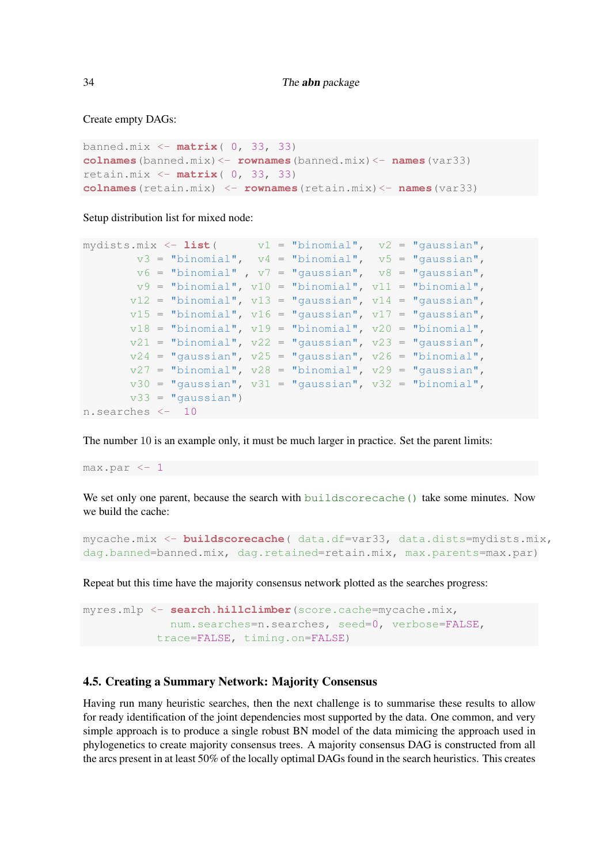Create empty DAGs:

```
banned.mix <- matrix( 0, 33, 33)
colnames(banned.mix)<- rownames(banned.mix)<- names(var33)
retain.mix <- matrix( 0, 33, 33)
colnames(retain.mix) <- rownames(retain.mix)<- names(var33)
```
Setup distribution list for mixed node:

```
mydists.mix <- list( v1 = "binomial", v2 = "gaussian",
       v3 = "binomial", v4 = "binomial", v5 = "gaussian",
       v6 = "binomial", v7 = "gaussian", v8 = "gaussian",
       v9 = "binomial", v10 = "binomial", v11 = "binomial",
      v12 = "binomial", v13 = "gaussian", v14 = "gaussian",
      v15 = "binomial", v16 = "gaussian", v17 = "gaussian",
       v18 = "binomial", v19 = "binomial", v20 = "binomial",
      v21 = "binomial", v22 = "gaussian", v23 = "gaussian",
      v24 = "gaussian", v25 = "gaussian", v26 = "binomial",v27 = "binomial", v28 = "binomial", v29 = "gaussian",
      v30 = "gaussian", v31 = "gaussian", v32 = "binomial",v33 = "gaussian")n.searches <- 10
```
The number 10 is an example only, it must be much larger in practice. Set the parent limits:

max.par <- 1

We set only one parent, because the search with buildscorecache() take some minutes. Now we build the cache:

```
mycache.mix <- buildscorecache( data.df=var33, data.dists=mydists.mix,
dag.banned=banned.mix, dag.retained=retain.mix, max.parents=max.par)
```
Repeat but this time have the majority consensus network plotted as the searches progress:

```
myres.mlp <- search.hillclimber(score.cache=mycache.mix,
             num.searches=n.searches, seed=0, verbose=FALSE,
           trace=FALSE, timing.on=FALSE)
```
## <span id="page-33-0"></span>4.5. Creating a Summary Network: Majority Consensus

Having run many heuristic searches, then the next challenge is to summarise these results to allow for ready identification of the joint dependencies most supported by the data. One common, and very simple approach is to produce a single robust BN model of the data mimicing the approach used in phylogenetics to create majority consensus trees. A majority consensus DAG is constructed from all the arcs present in at least 50% of the locally optimal DAGs found in the search heuristics. This creates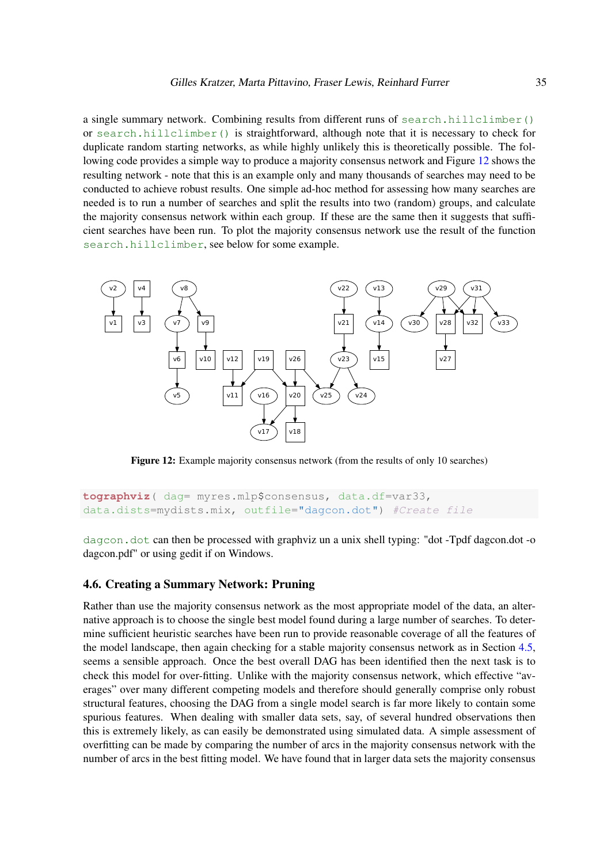a single summary network. Combining results from different runs of search.hillclimber() or search.hillclimber() is straightforward, although note that it is necessary to check for duplicate random starting networks, as while highly unlikely this is theoretically possible. The following code provides a simple way to produce a majority consensus network and Figure [12](#page-34-0) shows the resulting network - note that this is an example only and many thousands of searches may need to be conducted to achieve robust results. One simple ad-hoc method for assessing how many searches are needed is to run a number of searches and split the results into two (random) groups, and calculate the majority consensus network within each group. If these are the same then it suggests that sufficient searches have been run. To plot the majority consensus network use the result of the function search.hillclimber, see below for some example.

<span id="page-34-0"></span>

Figure 12: Example majority consensus network (from the results of only 10 searches)

```
tographviz( dag= myres.mlp$consensus, data.df=var33,
data.dists=mydists.mix, outfile="dagcon.dot") #Create file
```
dagcon.dot can then be processed with graphviz un a unix shell typing: "dot -Tpdf dagcon.dot -o dagcon.pdf" or using gedit if on Windows.

### 4.6. Creating a Summary Network: Pruning

Rather than use the majority consensus network as the most appropriate model of the data, an alternative approach is to choose the single best model found during a large number of searches. To determine sufficient heuristic searches have been run to provide reasonable coverage of all the features of the model landscape, then again checking for a stable majority consensus network as in Section [4.5,](#page-33-0) seems a sensible approach. Once the best overall DAG has been identified then the next task is to check this model for over-fitting. Unlike with the majority consensus network, which effective "averages" over many different competing models and therefore should generally comprise only robust structural features, choosing the DAG from a single model search is far more likely to contain some spurious features. When dealing with smaller data sets, say, of several hundred observations then this is extremely likely, as can easily be demonstrated using simulated data. A simple assessment of overfitting can be made by comparing the number of arcs in the majority consensus network with the number of arcs in the best fitting model. We have found that in larger data sets the majority consensus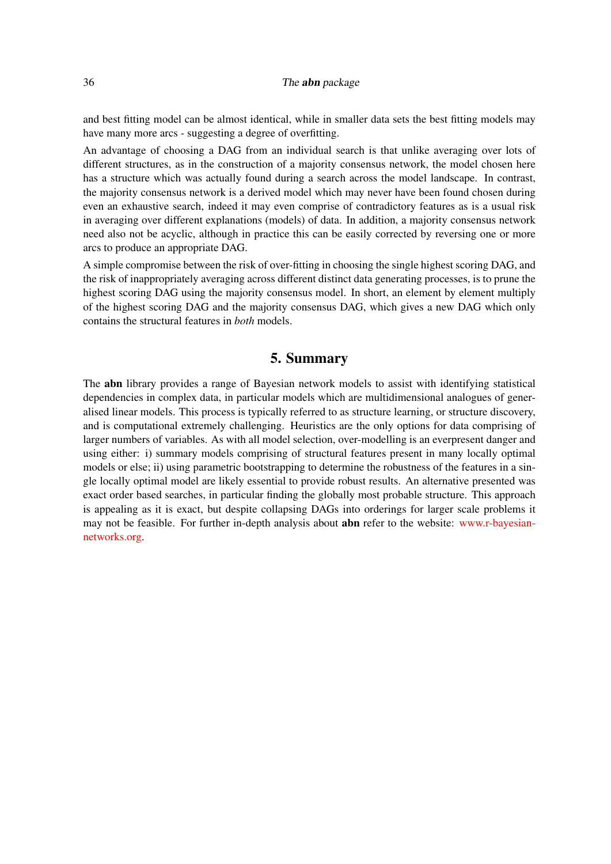and best fitting model can be almost identical, while in smaller data sets the best fitting models may have many more arcs - suggesting a degree of overfitting.

An advantage of choosing a DAG from an individual search is that unlike averaging over lots of different structures, as in the construction of a majority consensus network, the model chosen here has a structure which was actually found during a search across the model landscape. In contrast, the majority consensus network is a derived model which may never have been found chosen during even an exhaustive search, indeed it may even comprise of contradictory features as is a usual risk in averaging over different explanations (models) of data. In addition, a majority consensus network need also not be acyclic, although in practice this can be easily corrected by reversing one or more arcs to produce an appropriate DAG.

A simple compromise between the risk of over-fitting in choosing the single highest scoring DAG, and the risk of inappropriately averaging across different distinct data generating processes, is to prune the highest scoring DAG using the majority consensus model. In short, an element by element multiply of the highest scoring DAG and the majority consensus DAG, which gives a new DAG which only contains the structural features in *both* models.

# 5. Summary

The abn library provides a range of Bayesian network models to assist with identifying statistical dependencies in complex data, in particular models which are multidimensional analogues of generalised linear models. This process is typically referred to as structure learning, or structure discovery, and is computational extremely challenging. Heuristics are the only options for data comprising of larger numbers of variables. As with all model selection, over-modelling is an everpresent danger and using either: i) summary models comprising of structural features present in many locally optimal models or else; ii) using parametric bootstrapping to determine the robustness of the features in a single locally optimal model are likely essential to provide robust results. An alternative presented was exact order based searches, in particular finding the globally most probable structure. This approach is appealing as it is exact, but despite collapsing DAGs into orderings for larger scale problems it may not be feasible. For further in-depth analysis about abn refer to the website: [www.r-bayesian](http://www.r-bayesian-networks.org)[networks.org.](http://www.r-bayesian-networks.org)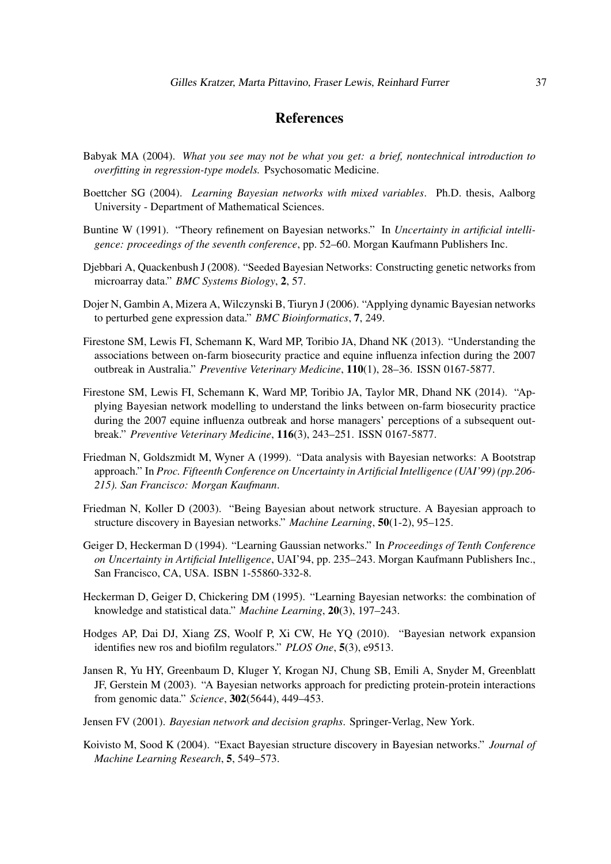# References

- <span id="page-36-13"></span>Babyak MA (2004). *What you see may not be what you get: a brief, nontechnical introduction to overfitting in regression-type models.* Psychosomatic Medicine.
- <span id="page-36-8"></span>Boettcher SG (2004). *Learning Bayesian networks with mixed variables*. Ph.D. thesis, Aalborg University - Department of Mathematical Sciences.
- <span id="page-36-0"></span>Buntine W (1991). "Theory refinement on Bayesian networks." In *Uncertainty in artificial intelligence: proceedings of the seventh conference*, pp. 52–60. Morgan Kaufmann Publishers Inc.
- <span id="page-36-6"></span>Djebbari A, Quackenbush J (2008). "Seeded Bayesian Networks: Constructing genetic networks from microarray data." *BMC Systems Biology*, 2, 57.
- <span id="page-36-4"></span>Dojer N, Gambin A, Mizera A, Wilczynski B, Tiuryn J (2006). "Applying dynamic Bayesian networks to perturbed gene expression data." *BMC Bioinformatics*, 7, 249.
- <span id="page-36-11"></span>Firestone SM, Lewis FI, Schemann K, Ward MP, Toribio JA, Dhand NK (2013). "Understanding the associations between on-farm biosecurity practice and equine influenza infection during the 2007 outbreak in Australia." *Preventive Veterinary Medicine*, 110(1), 28–36. ISSN 0167-5877.
- <span id="page-36-12"></span>Firestone SM, Lewis FI, Schemann K, Ward MP, Toribio JA, Taylor MR, Dhand NK (2014). "Applying Bayesian network modelling to understand the links between on-farm biosecurity practice during the 2007 equine influenza outbreak and horse managers' perceptions of a subsequent outbreak." *Preventive Veterinary Medicine*, 116(3), 243–251. ISSN 0167-5877.
- <span id="page-36-14"></span>Friedman N, Goldszmidt M, Wyner A (1999). "Data analysis with Bayesian networks: A Bootstrap approach." In *Proc. Fifteenth Conference on Uncertainty in Artificial Intelligence (UAI'99) (pp.206- 215). San Francisco: Morgan Kaufmann*.
- <span id="page-36-3"></span>Friedman N, Koller D (2003). "Being Bayesian about network structure. A Bayesian approach to structure discovery in Bayesian networks." *Machine Learning*, 50(1-2), 95–125.
- <span id="page-36-9"></span>Geiger D, Heckerman D (1994). "Learning Gaussian networks." In *Proceedings of Tenth Conference on Uncertainty in Artificial Intelligence*, UAI'94, pp. 235–243. Morgan Kaufmann Publishers Inc., San Francisco, CA, USA. ISBN 1-55860-332-8.
- <span id="page-36-1"></span>Heckerman D, Geiger D, Chickering DM (1995). "Learning Bayesian networks: the combination of knowledge and statistical data." *Machine Learning*, 20(3), 197–243.
- <span id="page-36-7"></span>Hodges AP, Dai DJ, Xiang ZS, Woolf P, Xi CW, He YQ (2010). "Bayesian network expansion identifies new ros and biofilm regulators." *PLOS One*, 5(3), e9513.
- <span id="page-36-5"></span>Jansen R, Yu HY, Greenbaum D, Kluger Y, Krogan NJ, Chung SB, Emili A, Snyder M, Greenblatt JF, Gerstein M (2003). "A Bayesian networks approach for predicting protein-protein interactions from genomic data." *Science*, 302(5644), 449–453.
- <span id="page-36-2"></span>Jensen FV (2001). *Bayesian network and decision graphs*. Springer-Verlag, New York.
- <span id="page-36-10"></span>Koivisto M, Sood K (2004). "Exact Bayesian structure discovery in Bayesian networks." *Journal of Machine Learning Research*, 5, 549–573.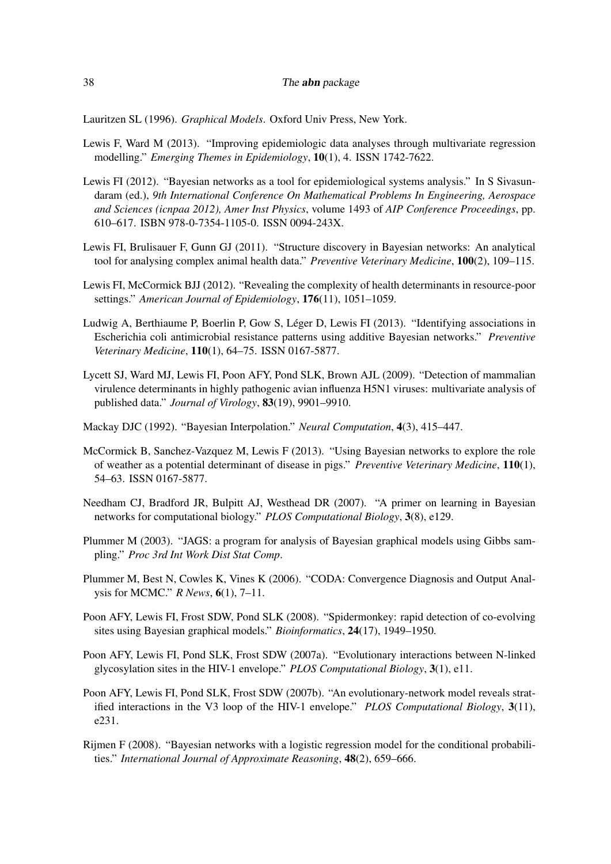<span id="page-37-0"></span>Lauritzen SL (1996). *Graphical Models*. Oxford Univ Press, New York.

- <span id="page-37-8"></span>Lewis F, Ward M (2013). "Improving epidemiologic data analyses through multivariate regression modelling." *Emerging Themes in Epidemiology*, 10(1), 4. ISSN 1742-7622.
- <span id="page-37-7"></span>Lewis FI (2012). "Bayesian networks as a tool for epidemiological systems analysis." In S Sivasundaram (ed.), *9th International Conference On Mathematical Problems In Engineering, Aerospace and Sciences (icnpaa 2012), Amer Inst Physics*, volume 1493 of *AIP Conference Proceedings*, pp. 610–617. ISBN 978-0-7354-1105-0. ISSN 0094-243X.
- <span id="page-37-5"></span>Lewis FI, Brulisauer F, Gunn GJ (2011). "Structure discovery in Bayesian networks: An analytical tool for analysing complex animal health data." *Preventive Veterinary Medicine*, 100(2), 109–115.
- <span id="page-37-6"></span>Lewis FI, McCormick BJJ (2012). "Revealing the complexity of health determinants in resource-poor settings." *American Journal of Epidemiology*, 176(11), 1051–1059.
- <span id="page-37-9"></span>Ludwig A, Berthiaume P, Boerlin P, Gow S, Léger D, Lewis FI (2013). "Identifying associations in Escherichia coli antimicrobial resistance patterns using additive Bayesian networks." *Preventive Veterinary Medicine*, 110(1), 64–75. ISSN 0167-5877.
- <span id="page-37-14"></span>Lycett SJ, Ward MJ, Lewis FI, Poon AFY, Pond SLK, Brown AJL (2009). "Detection of mammalian virulence determinants in highly pathogenic avian influenza H5N1 viruses: multivariate analysis of published data." *Journal of Virology*, 83(19), 9901–9910.
- <span id="page-37-11"></span>Mackay DJC (1992). "Bayesian Interpolation." *Neural Computation*, 4(3), 415–447.
- <span id="page-37-10"></span>McCormick B, Sanchez-Vazquez M, Lewis F (2013). "Using Bayesian networks to explore the role of weather as a potential determinant of disease in pigs." *Preventive Veterinary Medicine*, 110(1), 54–63. ISSN 0167-5877.
- <span id="page-37-4"></span>Needham CJ, Bradford JR, Bulpitt AJ, Westhead DR (2007). "A primer on learning in Bayesian networks for computational biology." *PLOS Computational Biology*, 3(8), e129.
- <span id="page-37-12"></span>Plummer M (2003). "JAGS: a program for analysis of Bayesian graphical models using Gibbs sampling." *Proc 3rd Int Work Dist Stat Comp*.
- <span id="page-37-13"></span>Plummer M, Best N, Cowles K, Vines K (2006). "CODA: Convergence Diagnosis and Output Analysis for MCMC." *R News*, 6(1), 7–11.
- <span id="page-37-2"></span>Poon AFY, Lewis FI, Frost SDW, Pond SLK (2008). "Spidermonkey: rapid detection of co-evolving sites using Bayesian graphical models." *Bioinformatics*, 24(17), 1949–1950.
- <span id="page-37-1"></span>Poon AFY, Lewis FI, Pond SLK, Frost SDW (2007a). "Evolutionary interactions between N-linked glycosylation sites in the HIV-1 envelope." *PLOS Computational Biology*, 3(1), e11.
- <span id="page-37-3"></span>Poon AFY, Lewis FI, Pond SLK, Frost SDW (2007b). "An evolutionary-network model reveals stratified interactions in the V3 loop of the HIV-1 envelope." *PLOS Computational Biology*, 3(11), e231.
- <span id="page-37-15"></span>Rijmen F (2008). "Bayesian networks with a logistic regression model for the conditional probabilities." *International Journal of Approximate Reasoning*, 48(2), 659–666.